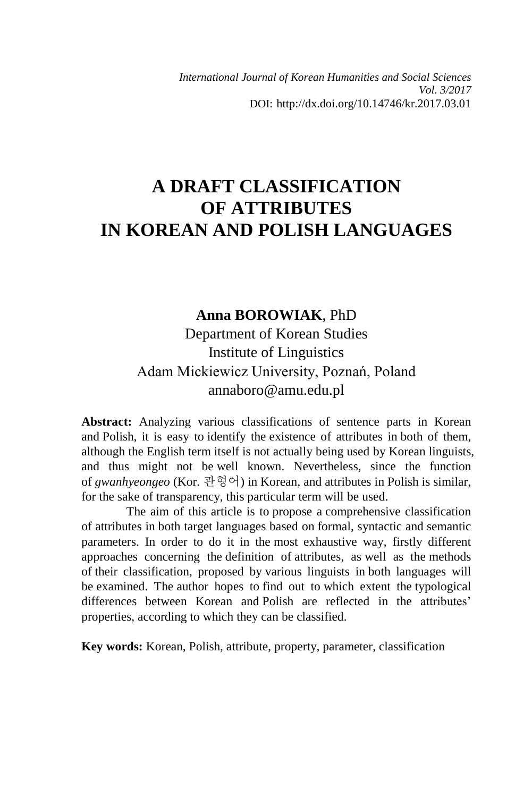*International Journal of Korean Humanities and Social Sciences Vol. 3/2017* DOI: http://dx.doi.org/10.14746/kr.2017.03.01

# **A DRAFT CLASSIFICATION OF ATTRIBUTES IN KOREAN AND POLISH LANGUAGES**

#### **Anna BOROWIAK**, PhD

Department of Korean Studies Institute of Linguistics Adam Mickiewicz University, Poznań, Poland annaboro@amu.edu.pl

**Abstract:** Analyzing various classifications of sentence parts in Korean and Polish, it is easy to identify the existence of attributes in both of them, although the English term itself is not actually being used by Korean linguists, and thus might not be well known. Nevertheless, since the function of *gwanhyeongeo* (Kor. 관형어) in Korean, and attributes in Polish is similar, for the sake of transparency, this particular term will be used.

The aim of this article is to propose a comprehensive classification of attributes in both target languages based on formal, syntactic and semantic parameters. In order to do it in the most exhaustive way, firstly different approaches concerning the definition of attributes, as well as the methods of their classification, proposed by various linguists in both languages will be examined. The author hopes to find out to which extent the typological differences between Korean and Polish are reflected in the attributes' properties, according to which they can be classified.

**Key words:** Korean, Polish, attribute, property, parameter, classification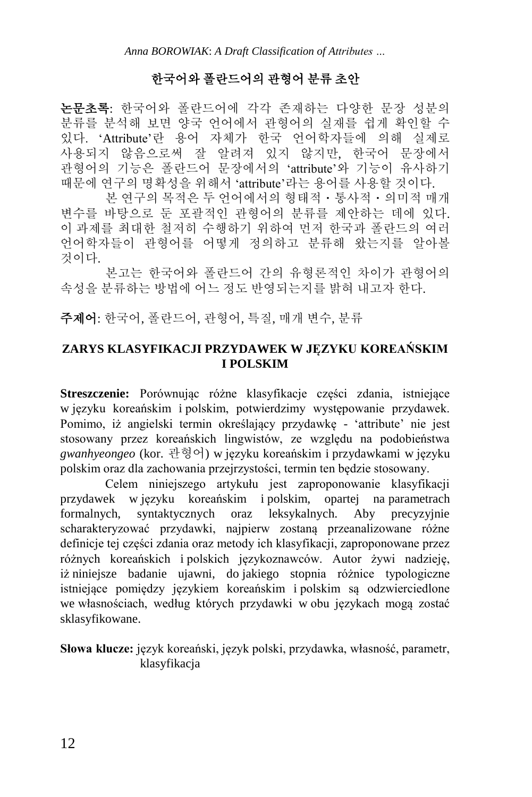#### 한국어와 폴란드어의 관형어 분류 초안

논문초록: 한국어와 폴란드어에 각각 존재하는 다양한 문장 성분의 분류를 분석해 보면 양국 언어에서 관형어의 실재를 쉽게 확인할 수 있다. 'Attribute'란 용어 자체가 한국 언어학자들에 의해 실제로 사용되지 않음으로써 잘 알려져 있지 않지만, 한국어 문장에서 관형어의 기능은 폴란드어 문장에서의 'attribute'와 기능이 유사하기 때문에 연구의 명확성을 위해서 'attribute'라는 용어를 사용할 것이다.

본 연구의 목적은 두 언어에서의 형태[적ㆍ통](https://ko.wikipedia.org/wiki/%E3%86%8D)사[적ㆍ의](https://ko.wikipedia.org/wiki/%E3%86%8D)미적 매개 변수를 바탕으로 둔 포괄적인 관형어의 분류를 제안하는 데에 있다. 이 과제를 최대한 철저히 수행하기 위하여 먼저 한국과 폴란드의 여러 언어학자들이 관형어를 어떻게 정의하고 분류해 왔는지를 알아볼 것이다.

본고는 한국어와 폴란드어 간의 유형론적인 차이가 관형어의 속성을 분류하는 방법에 어느 정도 반영되는지를 밝혀 내고자 한다.

주제어: 한국어, 폴란드어, 관형어, 특질, 매개 변수, 분류

#### **ZARYS KLASYFIKACJI PRZYDAWEK W JĘZYKU KOREAŃSKIM I POLSKIM**

**Streszczenie:** Porównując różne klasyfikacje części zdania, istniejące w języku koreańskim i polskim, potwierdzimy występowanie przydawek. Pomimo, iż angielski termin określający przydawkę - 'attribute' nie jest stosowany przez koreańskich lingwistów, ze względu na podobieństwa *gwanhyeongeo* (kor. 관형어) w języku koreańskim i przydawkami w języku polskim oraz dla zachowania przejrzystości, termin ten będzie stosowany.

Celem niniejszego artykułu jest zaproponowanie klasyfikacji przydawek w języku koreańskim i polskim, opartej na parametrach formalnych, syntaktycznych oraz leksykalnych. Aby precyzyjnie scharakteryzować przydawki, najpierw zostaną przeanalizowane różne definicje tej części zdania oraz metody ich klasyfikacji, zaproponowane przez różnych koreańskich i polskich językoznawców. Autor żywi nadzieję, iż niniejsze badanie ujawni, do jakiego stopnia różnice typologiczne istniejące pomiędzy językiem koreańskim i polskim są odzwierciedlone we własnościach, według których przydawki w obu językach mogą zostać sklasyfikowane.

**Słowa klucze:** język koreański, język polski, przydawka, własność, parametr, klasyfikacja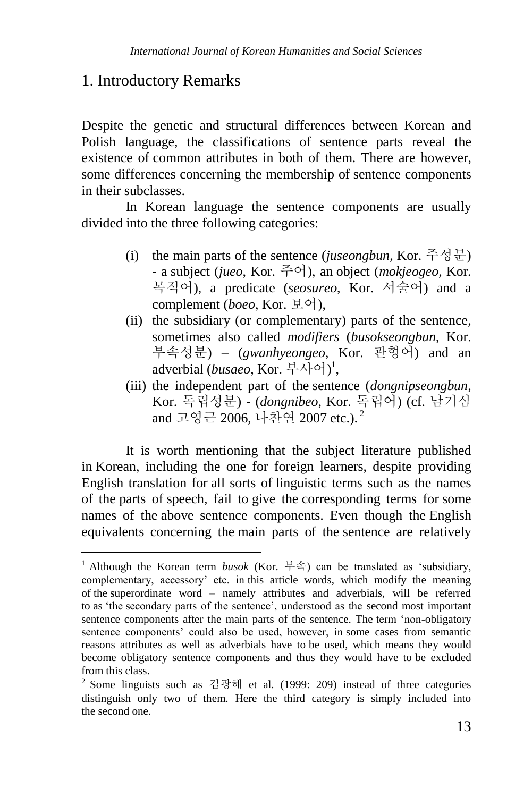### 1. Introductory Remarks

<u>.</u>

Despite the genetic and structural differences between Korean and Polish language, the classifications of sentence parts reveal the existence of common attributes in both of them. There are however, some differences concerning the membership of sentence components in their subclasses.

In Korean language the sentence components are usually divided into the three following categories:

- (i) the main parts of the sentence (*juseongbun*, Kor. 주성분) - a subject (*jueo*, Kor. 주어), an object (*mokjeogeo*, Kor. 목적어), a predicate (*seosureo*, Kor. 서술어) and a complement (*boeo*, Kor. 보어),
- (ii) the subsidiary (or complementary) parts of the sentence, sometimes also called *modifiers* (*busokseongbun*, Kor. 부속성분) – (*gwanhyeongeo*, Kor. 관형어) and an adverbial (*busaeo*, Kor. 부사어) 1 ,
- (iii) the independent part of the sentence (*dongnipseongbun*, Kor. 독립성분) - (*dongnibeo*, Kor. 독립어) (cf. 남기심 and 고영근 2006, 나찬연 2007 etc.). 2

It is worth mentioning that the subject literature published in Korean, including the one for foreign learners, despite providing English translation for all sorts of linguistic terms such as the names of the parts of speech, fail to give the corresponding terms for some names of the above sentence components. Even though the English equivalents concerning the main parts of the sentence are relatively

<sup>&</sup>lt;sup>1</sup> Although the Korean term *busok* (Kor.  $\frac{1}{2}$ ) can be translated as 'subsidiary, complementary, accessory' etc. in this article words, which modify the meaning of the superordinate word – namely attributes and adverbials, will be referred to as 'the secondary parts of the sentence', understood as the second most important sentence components after the main parts of the sentence. The term 'non-obligatory sentence components' could also be used, however, in some cases from semantic reasons attributes as well as adverbials have to be used, which means they would become obligatory sentence components and thus they would have to be excluded from this class.

<sup>&</sup>lt;sup>2</sup> Some linguists such as 김광해 et al. (1999: 209) instead of three categories distinguish only two of them. Here the third category is simply included into the second one.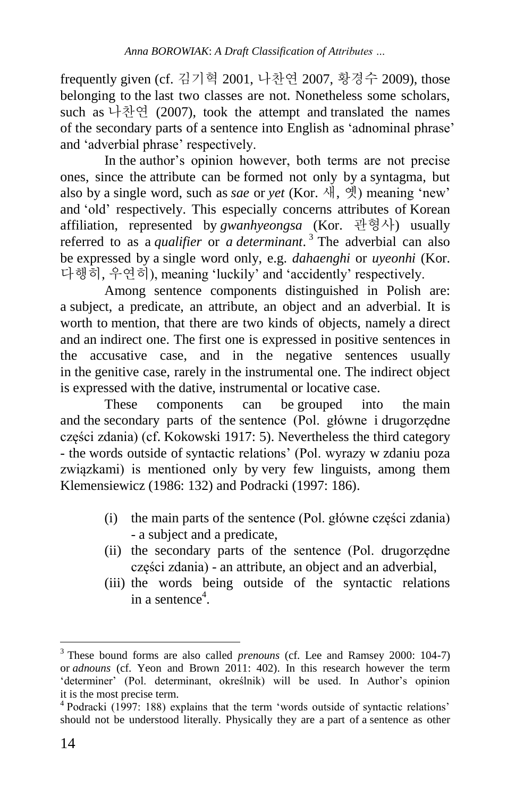frequently given (cf. 김기혁 2001, 나찬연 2007, 황경수 2009), those belonging to the last two classes are not. Nonetheless some scholars, such as 나찬연 (2007), took the attempt and translated the names of the secondary parts of a sentence into English as 'adnominal phrase' and 'adverbial phrase' respectively.

In the author's opinion however, both terms are not precise ones, since the attribute can be formed not only by a syntagma, but also by a single word, such as *sae* or *yet* (Kor. 새, 옛) meaning 'new' and 'old' respectively. This especially concerns attributes of Korean affiliation, represented by *gwanhyeongsa* (Kor. 관형사) usually referred to as a *qualifier* or *a determinant*. <sup>3</sup> The adverbial can also be expressed by a single word only, e.g. *dahaenghi* or *uyeonhi* (Kor. 다행히, 우연히), meaning 'luckily' and 'accidently' respectively.

Among sentence components distinguished in Polish are: a subject, a predicate, an attribute, an object and an adverbial. It is worth to mention, that there are two kinds of objects, namely a direct and an indirect one. The first one is expressed in positive sentences in the accusative case, and in the negative sentences usually in the genitive case, rarely in the instrumental one. The indirect object is expressed with the dative, instrumental or locative case.

These components can be grouped into the main and the secondary parts of the sentence (Pol. główne i drugorzędne części zdania) (cf. Kokowski 1917: 5). Nevertheless the third category - the words outside of syntactic relations' (Pol. wyrazy w zdaniu poza związkami) is mentioned only by very few linguists, among them Klemensiewicz (1986: 132) and Podracki (1997: 186).

- (i) the main parts of the sentence (Pol. główne części zdania) - a subject and a predicate,
- (ii) the secondary parts of the sentence (Pol. drugorzędne części zdania) - an attribute, an object and an adverbial,
- (iii) the words being outside of the syntactic relations in a sentence<sup>4</sup>.

<sup>3</sup> These bound forms are also called *prenouns* (cf. Lee and Ramsey 2000: 104-7) or *adnouns* (cf. Yeon and Brown 2011: 402). In this research however the term 'determiner' (Pol. determinant, określnik) will be used. In Author's opinion it is the most precise term.

<sup>&</sup>lt;sup>4</sup> Podracki (1997: 188) explains that the term 'words outside of syntactic relations' should not be understood literally. Physically they are a part of a sentence as other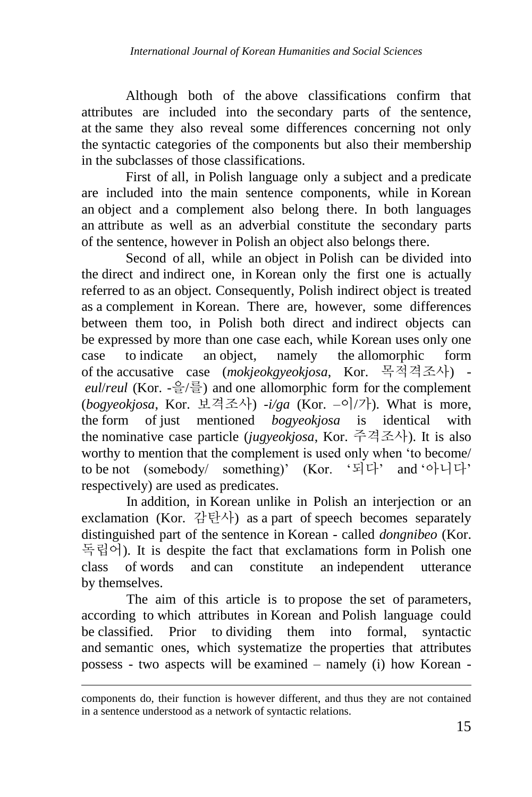Although both of the above classifications confirm that attributes are included into the secondary parts of the sentence, at the same they also reveal some differences concerning not only the syntactic categories of the components but also their membership in the subclasses of those classifications.

First of all, in Polish language only a subject and a predicate are included into the main sentence components, while in Korean an object and a complement also belong there. In both languages an attribute as well as an adverbial constitute the secondary parts of the sentence, however in Polish an object also belongs there.

Second of all, while an object in Polish can be divided into the direct and indirect one, in Korean only the first one is actually referred to as an object. Consequently, Polish indirect object is treated as a complement in Korean. There are, however, some differences between them too, in Polish both direct and indirect objects can be expressed by more than one case each, while Korean uses only one case to indicate an object, namely the allomorphic form of the accusative case (*mokjeokgyeokjosa*, Kor. 목적격조사) *eul/reul* (Kor.  $-\frac{6}{5}$ /를) and one allomorphic form for the complement (*bogyeokjosa*, Kor. 보격조사) *-i/ga* (Kor. –이/가). What is more, the form of just mentioned *bogyeokjosa* is identical with the nominative case particle (*jugyeokjosa*, Kor. 주격조사). It is also worthy to mention that the complement is used only when 'to become/ to be not (somebody/ something)' (Kor. '되다' and '아니다' respectively) are used as predicates.

In addition, in Korean unlike in Polish an interjection or an exclamation (Kor. 감탄사) as a part of speech becomes separately distinguished part of the sentence in Korean - called *dongnibeo* (Kor. 독립어). It is despite the fact that exclamations form in Polish one class of words and can constitute an independent utterance by themselves.

The aim of this article is to propose the set of parameters, according to which attributes in Korean and Polish language could be classified. Prior to dividing them into formal, syntactic and semantic ones, which systematize the properties that attributes possess - two aspects will be examined – namely (i) how Korean -

components do, their function is however different, and thus they are not contained in a sentence understood as a network of syntactic relations.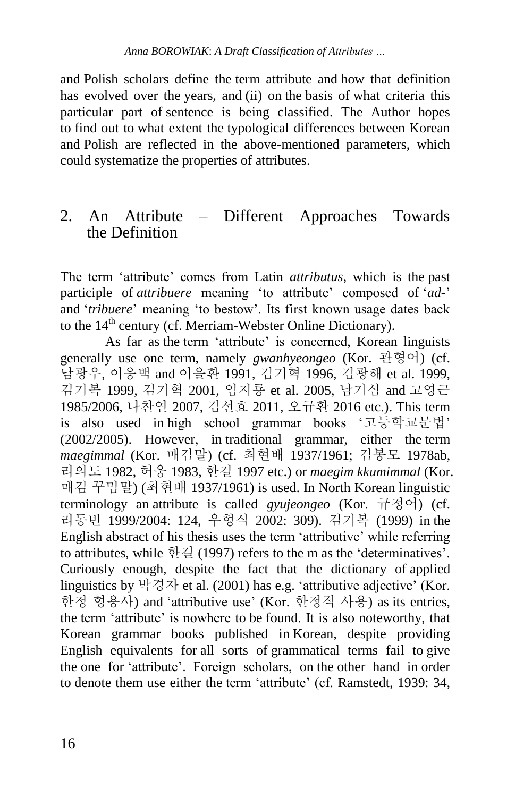and Polish scholars define the term attribute and how that definition has evolved over the years, and (ii) on the basis of what criteria this particular part of sentence is being classified. The Author hopes to find out to what extent the typological differences between Korean and Polish are reflected in the above-mentioned parameters, which could systematize the properties of attributes.

### 2. An Attribute – Different Approaches Towards the Definition

The term 'attribute' comes from Latin *attributus*, which is the past participle of *attribuere* meaning 'to attribute' composed of '*ad-*' and '*tribuere*' meaning 'to bestow'. Its first known usage dates back to the  $14<sup>th</sup>$  century (cf. Merriam-Webster Online Dictionary).

As far as the term 'attribute' is concerned, Korean linguists generally use one term, namely *gwanhyeongeo* (Kor. 관형어) (cf. 남광우, 이응백 and 이을환 1991, 김기혁 1996, 김광해 et al. 1999, 김기복 1999, 김기혁 2001, 임지룡 et al. 2005, 남기심 and 고영근 1985/2006, 나찬연 2007, 김선효 2011, 오규환 2016 etc.). This term is also used in high school grammar books '고등학교문법' (2002/2005). However, in traditional grammar, either the term *maegimmal* (Kor. 매김말) (cf. 최현배 1937/1961; 김봉모 1978ab, 리의도 1982, 허웅 1983, 한길 1997 etc.) or *maegim kkumimmal* (Kor. 매김 꾸밈말) (최현배 1937/1961) is used. In North Korean linguistic terminology an attribute is called *gyujeongeo* (Kor. 규정어) (cf. 리동빈 1999/2004: 124, 우형식 2002: 309). 김기복 (1999) in the English abstract of his thesis uses the term 'attributive' while referring to attributes, while 한길 (1997) refers to the m as the 'determinatives'. Curiously enough, despite the fact that the dictionary of applied linguistics by 박경자 et al. (2001) has e.g. 'attributive adjective' (Kor. 한정 형용사) and 'attributive use' (Kor. 한정적 사용) as its entries, the term 'attribute' is nowhere to be found. It is also noteworthy, that Korean grammar books published in Korean, despite providing English equivalents for all sorts of grammatical terms fail to give the one for 'attribute'. Foreign scholars, on the other hand in order to denote them use either the term 'attribute' (cf. Ramstedt, 1939: 34,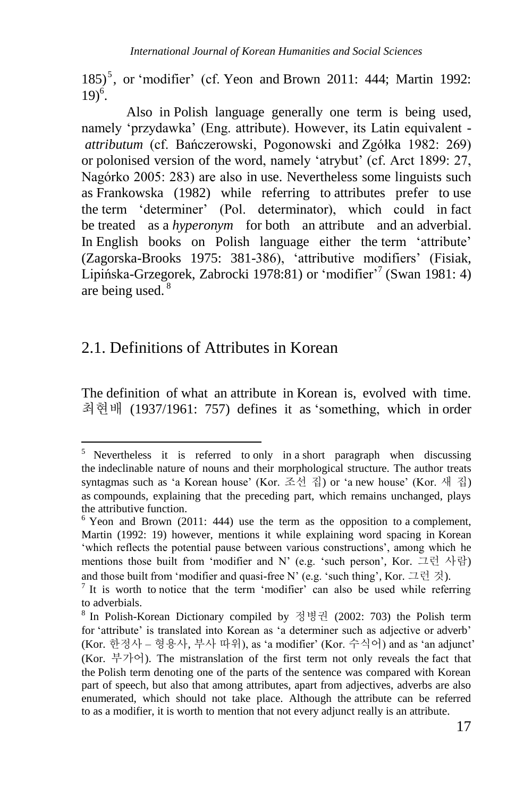185)<sup>5</sup>, or 'modifier' (cf. Yeon and Brown 2011: 444; Martin 1992:  $19)^{6}$ .

Also in Polish language generally one term is being used, namely 'przydawka' (Eng. attribute). However, its Latin equivalent *attributum* (cf. Bańczerowski, Pogonowski and Zgółka 1982: 269) or polonised version of the word, namely 'atrybut' (cf. Arct 1899: 27, Nagórko 2005: 283) are also in use. Nevertheless some linguists such as Frankowska (1982) while referring to attributes prefer to use the term 'determiner' (Pol. determinator), which could in fact be treated as a *hyperonym* for both an attribute and an adverbial. In English books on Polish language either the term 'attribute' (Zagorska-Brooks 1975: 381-386), 'attributive modifiers' (Fisiak, Lipińska-Grzegorek, Zabrocki 1978:81) or 'modifier'<sup>7</sup> (Swan 1981: 4) are being used. <sup>8</sup>

# 2.1. Definitions of Attributes in Korean

<u>.</u>

The definition of what an attribute in Korean is, evolved with time. 최현배 (1937/1961: 757) defines it as 'something, which in order

<sup>&</sup>lt;sup>5</sup> Nevertheless it is referred to only in a short paragraph when discussing the indeclinable nature of nouns and their morphological structure. The author treats syntagmas such as 'a Korean house' (Kor. 조선 집) or 'a new house' (Kor. 새 집) as compounds, explaining that the preceding part, which remains unchanged, plays the attributive function.

 $6$  Yeon and Brown (2011: 444) use the term as the opposition to a complement, Martin (1992: 19) however, mentions it while explaining word spacing in Korean 'which reflects the potential pause between various constructions', among which he mentions those built from 'modifier and N' (e.g. 'such person', Kor. 그런 사람) and those built from 'modifier and quasi-free N' (e.g. 'such thing', Kor.  $\Box \vec{\infty} \, \vec{\infty}$ ).

 $<sup>7</sup>$  It is worth to notice that the term 'modifier' can also be used while referring</sup> to adverbials.

<sup>8</sup> In Polish-Korean Dictionary compiled by 정병권 (2002: 703) the Polish term for 'attribute' is translated into Korean as 'a determiner such as adjective or adverb' (Kor. 한정사 – 형용사, 부사 따위), as 'a modifier' (Kor. 수식어) and as 'an adjunct'  $(Kor. \neq \geq \geq \geq)$ . The mistranslation of the first term not only reveals the fact that the Polish term denoting one of the parts of the sentence was compared with Korean part of speech, but also that among attributes, apart from adjectives, adverbs are also enumerated, which should not take place. Although the attribute can be referred to as a modifier, it is worth to mention that not every adjunct really is an attribute.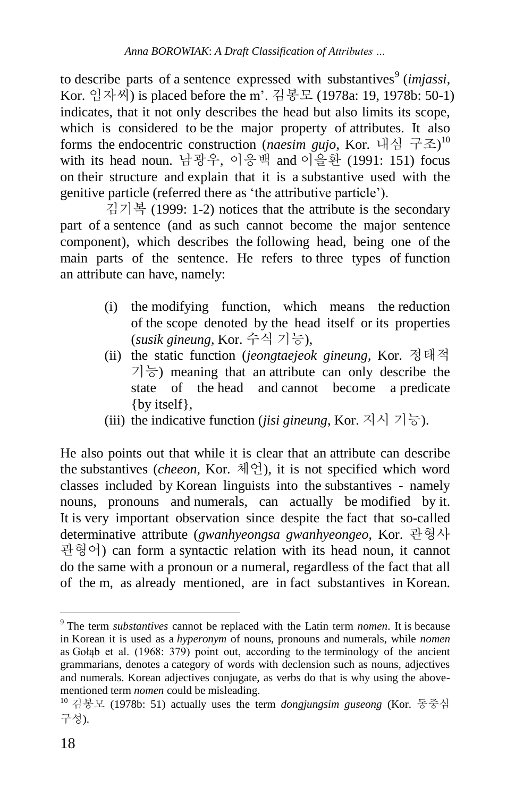to describe parts of a sentence expressed with substantives<sup>9</sup> (*imjassi*, Kor. 임자씨) is placed before the m'. 김봉모 (1978a: 19, 1978b: 50-1) indicates, that it not only describes the head but also limits its scope, which is considered to be the major property of attributes. It also forms the endocentric construction (*naesim gujo*, Kor. 내심 구조) 10 with its head noun. 남광우, 이응백 and 이을환 (1991: 151) focus on their structure and explain that it is a substantive used with the genitive particle (referred there as 'the attributive particle').

김기복 (1999: 1-2) notices that the attribute is the secondary part of a sentence (and as such cannot become the major sentence component), which describes the following head, being one of the main parts of the sentence. He refers to three types of function an attribute can have, namely:

- (i) the modifying function, which means the reduction of the scope denoted by the head itself or its properties (*susik gineung,* Kor. 수식 기능),
- (ii) the static function (*jeongtaejeok gineung*, Kor. 정태적 기능) meaning that an attribute can only describe the state of the head and cannot become a predicate {by itself},
- (iii) the indicative function (*jisi gineung*, Kor. 지시 기능).

He also points out that while it is clear that an attribute can describe the substantives (*cheeon*, Kor.  $\mathbb{R}[\mathfrak{D}]$ ), it is not specified which word classes included by Korean linguists into the substantives - namely nouns, pronouns and numerals, can actually be modified by it. It is very important observation since despite the fact that so-called determinative attribute (*gwanhyeongsa gwanhyeongeo*, Kor. 관형사 관형어) can form a syntactic relation with its head noun, it cannot do the same with a pronoun or a numeral, regardless of the fact that all of the m, as already mentioned, are in fact substantives in Korean.

l

<sup>9</sup> The term *substantives* cannot be replaced with the Latin term *nomen*. It is because in Korean it is used as a *hyperonym* of nouns, pronouns and numerals, while *nomen* as Gołąb et al. (1968: 379) point out, according to the terminology of the ancient grammarians, denotes a category of words with declension such as nouns, adjectives and numerals. Korean adjectives conjugate, as verbs do that is why using the abovementioned term *nomen* could be misleading.

<sup>10</sup> 김봉모 (1978b: 51) actually uses the term *dongjungsim guseong* (Kor. 동중심 구성).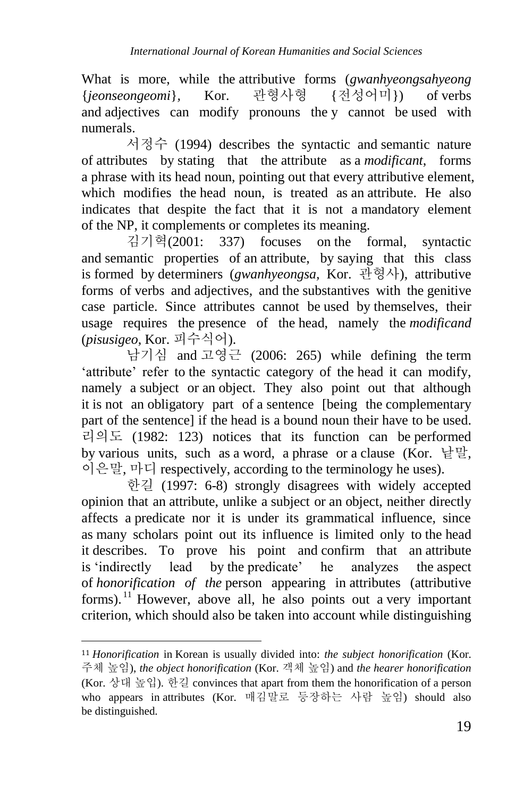What is more, while the attributive forms (*gwanhyeongsahyeong*  {*jeonseongeomi*}*,* Kor. 관형사형 {전성어미}) of verbs and adjectives can modify pronouns the y cannot be used with numerals.

서정수 (1994) describes the syntactic and semantic nature of attributes by stating that the attribute as a *modificant*, forms a phrase with its head noun, pointing out that every attributive element, which modifies the head noun, is treated as an attribute. He also indicates that despite the fact that it is not a mandatory element of the NP, it complements or completes its meaning.

김기혁(2001: 337) focuses on the formal, syntactic and semantic properties of an attribute, by saying that this class is formed by determiners (*gwanhyeongsa,* Kor. 관형사), attributive forms of verbs and adjectives, and the substantives with the genitive case particle. Since attributes cannot be used by themselves, their usage requires the presence of the head, namely the *modificand* (*pisusigeo*, Kor. 피수식어).

남기심 and 고영근 (2006: 265) while defining the term 'attribute' refer to the syntactic category of the head it can modify, namely a subject or an object. They also point out that although it is not an obligatory part of a sentence [being the complementary part of the sentence] if the head is a bound noun their have to be used. 리의도 (1982: 123) notices that its function can be performed by various units, such as a word, a phrase or a clause (Kor. 낱말, 이은말, 마디 respectively, according to the terminology he uses).

한길 (1997: 6-8) strongly disagrees with widely accepted opinion that an attribute, unlike a subject or an object, neither directly affects a predicate nor it is under its grammatical influence, since as many scholars point out its influence is limited only to the head it describes. To prove his point and confirm that an attribute is 'indirectly lead by the predicate' he analyzes the aspect of *honorification of the* person appearing in attributes (attributive forms).<sup>11</sup> However, above all, he also points out a very important criterion, which should also be taken into account while distinguishing

<sup>11</sup> *Honorification* in Korean is usually divided into: *the subject honorification* (Kor. 주체 높임), *the object honorification* (Kor. 객체 높임) and *the hearer honorification* (Kor. 상대 높입). 한길 convinces that apart from them the honorification of a person who appears in attributes (Kor. 매김말로 등장하는 사람 높임) should also be distinguished.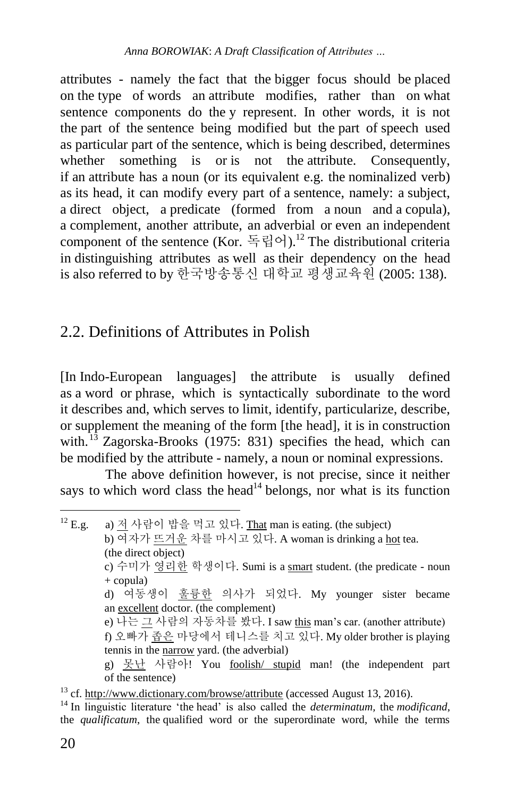attributes - namely the fact that the bigger focus should be placed on the type of words an attribute modifies, rather than on what sentence components do the y represent. In other words, it is not the part of the sentence being modified but the part of speech used as particular part of the sentence, which is being described, determines whether something is or is not the attribute. Consequently, if an attribute has a noun (or its equivalent e.g. the nominalized verb) as its head, it can modify every part of a sentence, namely: a subject, a direct object, a predicate (formed from a noun and a copula), a complement, another attribute, an adverbial or even an independent component of the sentence  $(Kor. \n\leq \exists \exists \neg \neg)$ .<sup>12</sup> The distributional criteria in distinguishing attributes as well as their dependency on the head is also referred to by 한국방송통신 대학교 평생교육원 (2005: 138).

### 2.2. Definitions of Attributes in Polish

[In Indo-European languages] the attribute is usually defined as a word or phrase, which is syntactically subordinate to the word it describes and, which serves to limit, identify, particularize, describe, or supplement the meaning of the form [the head], it is in construction with.<sup>13</sup> Zagorska-Brooks  $(1975: 831)$  specifies the head, which can be modified by the attribute - namely, a noun or nominal expressions.

The above definition however, is not precise, since it neither says to which word class the head<sup>14</sup> belongs, nor what is its function

<sup>12</sup> E.g. a) 저 사람이 밥을 먹고 있다. That man is eating. (the subject) b) 여자가 뜨거운 차를 마시고 있다. A woman is drinking a hot tea. (the direct object) c) 수미가 영리한 학생이다. Sumi is a smart student. (the predicate - noun + copula) d) 여동생이 훌륭한 의사가 되었다. My younger sister became an excellent doctor. (the complement) e) 나는 그 사람의 자동차를 봤다. I saw this man's car. (another attribute) f) 오빠가 좁은 마당에서 테니스를 치고 있다. My older brother is playing tennis in the narrow yard. (the adverbial) g) 못난 사람아! You foolish/ stupid man! (the independent part of the sentence)

<sup>13</sup> cf.<http://www.dictionary.com/browse/attribute> (accessed August 13, 2016).

<sup>14</sup> In linguistic literature 'the head' is also called the *determinatum,* the *modificand*, the *qualificatum*, the qualified word or the superordinate word, while the terms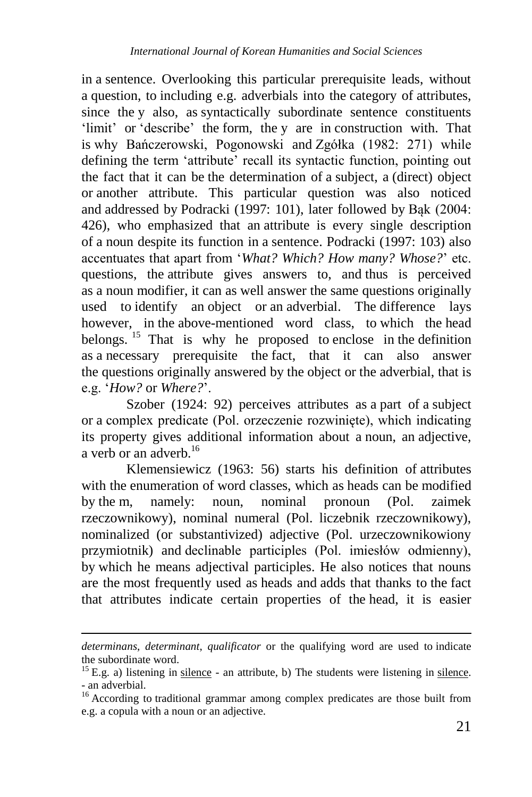in a sentence. Overlooking this particular prerequisite leads, without a question, to including e.g. adverbials into the category of attributes, since the y also, as syntactically subordinate sentence constituents 'limit' or 'describe' the form, the y are in construction with. That is why Bańczerowski, Pogonowski and Zgółka (1982: 271) while defining the term 'attribute' recall its syntactic function, pointing out the fact that it can be the determination of a subject, a (direct) object or another attribute. This particular question was also noticed and addressed by Podracki (1997: 101), later followed by Bąk (2004: 426), who emphasized that an attribute is every single description of a noun despite its function in a sentence. Podracki (1997: 103) also accentuates that apart from '*What? Which? How many? Whose?*' etc. questions, the attribute gives answers to, and thus is perceived as a noun modifier, it can as well answer the same questions originally used to identify an object or an adverbial. The difference lays however, in the above-mentioned word class, to which the head belongs. <sup>15</sup> That is why he proposed to enclose in the definition as a necessary prerequisite the fact, that it can also answer the questions originally answered by the object or the adverbial, that is e.g. '*How?* or *Where?*'.

Szober (1924: 92) perceives attributes as a part of a subject or a complex predicate (Pol. orzeczenie rozwinięte), which indicating its property gives additional information about a noun, an adjective, a verb or an adverb.<sup>16</sup>

Klemensiewicz (1963: 56) starts his definition of attributes with the enumeration of word classes, which as heads can be modified by the m, namely: noun, nominal pronoun (Pol. zaimek rzeczownikowy), nominal numeral (Pol. liczebnik rzeczownikowy), nominalized (or substantivized) adjective (Pol. urzeczownikowiony przymiotnik) and declinable participles (Pol. imiesłów odmienny), by which he means adjectival participles. He also notices that nouns are the most frequently used as heads and adds that thanks to the fact that attributes indicate certain properties of the head, it is easier

*determinans*, *determinant*, *qualificator* or the qualifying word are used to indicate the subordinate word.

 $15$  E.g. a) listening in silence - an attribute, b) The students were listening in silence. - an adverbial.

<sup>&</sup>lt;sup>16</sup> According to traditional grammar among complex predicates are those built from e.g. a copula with a noun or an adjective.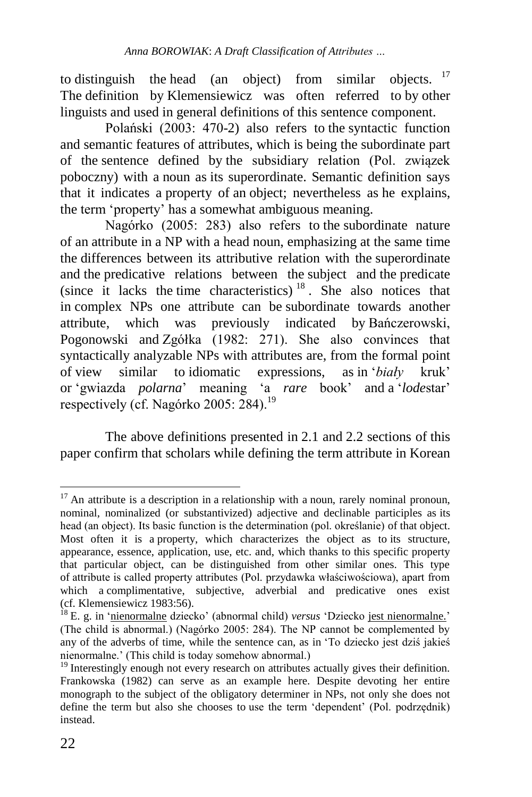to distinguish the head (an object) from similar objects.  $17$ The definition by Klemensiewicz was often referred to by other linguists and used in general definitions of this sentence component.

Polański (2003: 470-2) also refers to the syntactic function and semantic features of attributes, which is being the subordinate part of the sentence defined by the subsidiary relation (Pol. związek poboczny) with a noun as its superordinate. Semantic definition says that it indicates a property of an object; nevertheless as he explains, the term 'property' has a somewhat ambiguous meaning.

Nagórko (2005: 283) also refers to the subordinate nature of an attribute in a NP with a head noun, emphasizing at the same time the differences between its attributive relation with the superordinate and the predicative relations between the subject and the predicate (since it lacks the time characteristics)  $18$ . She also notices that in complex NPs one attribute can be subordinate towards another attribute, which was previously indicated by Bańczerowski, Pogonowski and Zgółka (1982: 271). She also convinces that syntactically analyzable NPs with attributes are, from the formal point of view similar to idiomatic expressions, as in '*biały* kruk' or 'gwiazda *polarna*' meaning 'a *rare* book' and a '*lode*star' respectively (cf. Nagórko 2005: 284).<sup>19</sup>

The above definitions presented in 2.1 and 2.2 sections of this paper confirm that scholars while defining the term attribute in Korean

l

 $17$  An attribute is a description in a relationship with a noun, rarely nominal pronoun, nominal, nominalized (or substantivized) adjective and declinable participles as its head (an object). Its basic function is the determination (pol. określanie) of that object. Most often it is a property, which characterizes the object as to its structure, appearance, essence, application, use, etc. and, which thanks to this specific property that particular object, can be distinguished from other similar ones. This type of attribute is called property attributes (Pol. przydawka właściwościowa), apart from which a complimentative, subjective, adverbial and predicative ones exist (cf. Klemensiewicz 1983:56).

<sup>18</sup> E. g. in 'nienormalne dziecko' (abnormal child) *versus* 'Dziecko jest nienormalne.' (The child is abnormal.) (Nagórko 2005: 284). The NP cannot be complemented by any of the adverbs of time, while the sentence can, as in 'To dziecko jest dziś jakieś nienormalne.' (This child is today somehow abnormal.)

<sup>&</sup>lt;sup>19</sup> Interestingly enough not every research on attributes actually gives their definition. Frankowska (1982) can serve as an example here. Despite devoting her entire monograph to the subject of the obligatory determiner in NPs, not only she does not define the term but also she chooses to use the term 'dependent' (Pol. podrzędnik) instead.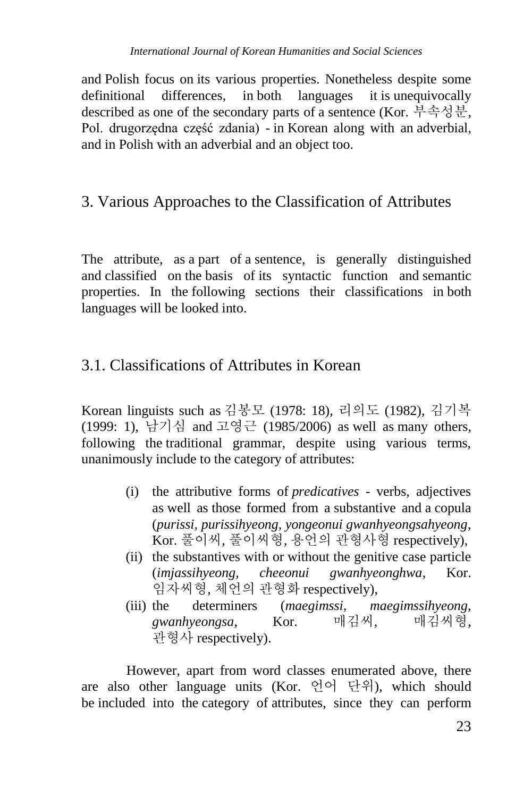and Polish focus on its various properties. Nonetheless despite some definitional differences, in both languages it is unequivocally described as one of the secondary parts of a sentence (Kor. 부속성분, Pol. drugorzędna część zdania) - in Korean along with an adverbial, and in Polish with an adverbial and an object too.

# 3. Various Approaches to the Classification of Attributes

The attribute, as a part of a sentence, is generally distinguished and classified on the basis of its syntactic function and semantic properties. In the following sections their classifications in both languages will be looked into.

# 3.1. Classifications of Attributes in Korean

Korean linguists such as 김봉모 (1978: 18), 리의도 (1982), 김기복 (1999: 1), 남기심 and 고영근 (1985/2006) as well as many others, following the traditional grammar, despite using various terms, unanimously include to the category of attributes:

- (i) the attributive forms of *predicatives* verbs, adjectives as well as those formed from a substantive and a copula (*purissi, purissihyeong, yongeonui gwanhyeongsahyeong*, Kor. 풀이씨, 풀이씨형, 용언의 관형사형 respectively),
- (ii) the substantives with or without the genitive case particle (*imjassihyeong, cheeonui gwanhyeonghwa*, Kor. 임자씨형, 체언의 관형화 respectively),
- (iii) the determiners (*maegimssi, maegimssihyeong, gwanhyeongsa*, Kor. 매김씨, 매김씨형, 관형사 respectively).

However, apart from word classes enumerated above, there are also other language units (Kor. 언어 단위), which should be included into the category of attributes, since they can perform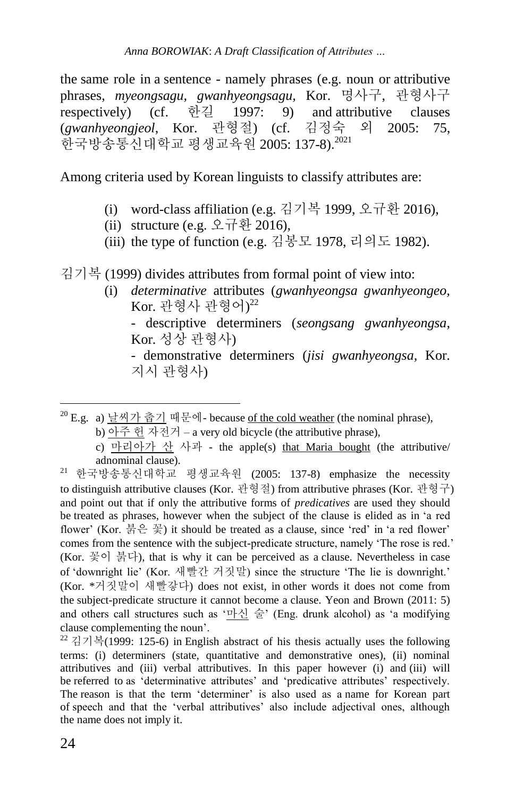the same role in a sentence - namely phrases (e.g. noun or attributive phrases, *myeongsagu, gwanhyeongsagu*, Kor. 명사구, 관형사구<br>respectively) (cf. 한길 1997: 9) and attributive clauses respectively) (cf. 한길 1997: 9) and attributive clauses (*gwanhyeongjeol*, Kor. 관형절) (cf. 김정숙 외 2005: 75, 한국방송통신대학교 평생교육원 2005: 137-8).<sup>2021</sup>

Among criteria used by Korean linguists to classify attributes are:

- (i) word-class affiliation (e.g. 김기복 1999, 오규환 2016),
- (ii) structure (e.g. 오규환 2016),
- (iii) the type of function (e.g. 김봉모 1978, 리의도 1982).

김기복 (1999) divides attributes from formal point of view into:

(i) *determinative* attributes (*gwanhyeongsa gwanhyeongeo,* Kor. 관형사 관형어) $^{22}$ 

- descriptive determiners (*seongsang gwanhyeongsa*, Kor. 성상 관형사)

- demonstrative determiners (*jisi gwanhyeongsa,* Kor. 지시 관형사)

 $20$  E.g. a) 날씨가 춥기 때문에- because of the cold weather (the nominal phrase),

b) 아주 헌 자전거 – a very old bicycle (the attributive phrase),

<sup>21</sup> 한국방송통신대학교 평생교육원 (2005: 137-8) emphasize the necessity to distinguish attributive clauses (Kor. 관형절) from attributive phrases (Kor. 관형구) and point out that if only the attributive forms of *predicatives* are used they should be treated as phrases, however when the subject of the clause is elided as in 'a red flower' (Kor. 붉은 꽃) it should be treated as a clause, since 'red' in 'a red flower' comes from the sentence with the subject-predicate structure, namely 'The rose is red.' (Kor.  $\frac{17}{5}$ 이 붉다), that is why it can be perceived as a clause. Nevertheless in case of 'downright lie' (Kor. 새빨간 거짓말) since the structure 'The lie is downright.' (Kor. \*거짓말이 새빨갛다) does not exist, in other words it does not come from the subject-predicate structure it cannot become a clause. Yeon and Brown (2011: 5) and others call structures such as '마신 술' (Eng. drunk alcohol) as 'a modifying clause complementing the noun'.

 $^{22}$  김기복(1999: 125-6) in English abstract of his thesis actually uses the following terms: (i) determiners (state, quantitative and demonstrative ones), (ii) nominal attributives and (iii) verbal attributives. In this paper however (i) and (iii) will be referred to as 'determinative attributes' and 'predicative attributes' respectively. The reason is that the term 'determiner' is also used as a name for Korean part of speech and that the 'verbal attributives' also include adjectival ones, although the name does not imply it.

l

c) 마리아가 산 사과 - the apple(s) that Maria bought (the attributive/ adnominal clause).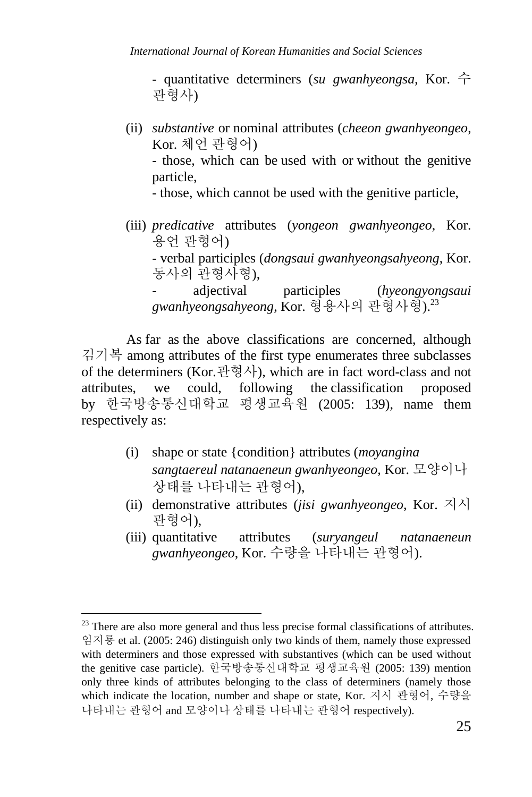- quantitative determiners (*su gwanhyeongsa,* Kor. 수 관형사)

(ii) *substantive* or nominal attributes (*cheeon gwanhyeongeo*, Kor. 체언 관형어) - those, which can be used with or without the genitive particle,

- those, which cannot be used with the genitive particle,

(iii) *predicative* attributes (*yongeon gwanhyeongeo*, Kor. 용언 관형어)

- verbal participles (*dongsaui gwanhyeongsahyeong*, Kor. 동사의 관형사형),

- adjectival participles (*hyeongyongsaui gwanhyeongsahyeong*, Kor. 형용사의 관형사형). 23

As far as the above classifications are concerned, although 김기복 among attributes of the first type enumerates three subclasses of the determiners (Kor.관형사), which are in fact word-class and not attributes, we could, following the classification proposed by 한국방송통신대학교 평생교육원 (2005: 139), name them respectively as:

- (i) shape or state {condition} attributes (*moyangina sangtaereul natanaeneun gwanhyeongeo,* Kor. 모양이나 상태를 나타내는 관형어),
- (ii) demonstrative attributes (*jisi gwanhyeongeo,* Kor. 지시 관형어),
- (iii) quantitative attributes (*suryangeul natanaeneun gwanhyeongeo*, Kor. 수량을 나타내는 관형어).

 $23$  There are also more general and thus less precise formal classifications of attributes. 임지룡 et al. (2005: 246) distinguish only two kinds of them, namely those expressed with determiners and those expressed with substantives (which can be used without the genitive case particle). 한국방송통신대학교 평생교육원 (2005: 139) mention only three kinds of attributes belonging to the class of determiners (namely those which indicate the location, number and shape or state, Kor. 지시 관형어, 수량을 나타내는 관형어 and 모양이나 상태를 나타내는 관형어 respectively).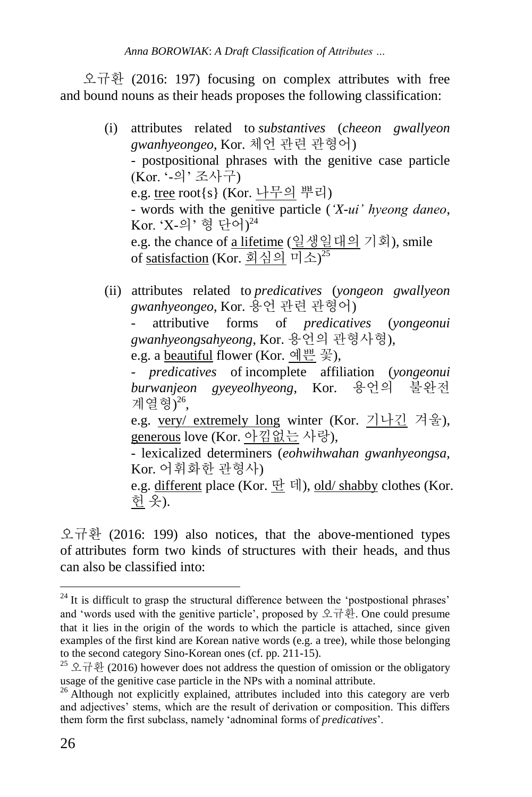오규환 (2016: 197) focusing on complex attributes with free and bound nouns as their heads proposes the following classification:

- (i) attributes related to *substantives* (*cheeon gwallyeon gwanhyeongeo*, Kor. 체언 관련 관형어) - postpositional phrases with the genitive case particle (Kor. '-의' 조사구) e.g. tree root{s} (Kor. 나무의 뿌리) - words with the genitive particle (*'X-ui' hyeong daneo*, Kor. 'X-의' 형 단어) 24 e.g. the chance of <u>a lifetime (일생일대의</u> 기회), smile of <u>satisfaction</u> (Kor. <u>회심의</u> 미소)<sup>25</sup>
- (ii) attributes related to *predicatives* (*yongeon gwallyeon gwanhyeongeo*, Kor. 용언 관련 관형어)

- attributive forms of *predicatives* (*yongeonui gwanhyeongsahyeong*, Kor. 용언의 관형사형),

e.g. a beautiful flower (Kor. 예쁜 꽃),

- *predicatives* of incomplete affiliation (*yongeonui burwanjeon gyeyeolhyeong*, Kor. 용언의 불완전 계열형)<sup>26</sup>,

e.g. very/ extremely long winter (Kor. 기나긴 겨울), generous love (Kor. 아낌없는 사랑),

- lexicalized determiners (*eohwihwahan gwanhyeongsa,* Kor. 어휘화한 관형사)

e.g. different place (Kor. 딴 데), old/ shabby clothes (Kor. 헌 옷).

오규환 (2016: 199) also notices, that the above-mentioned types of attributes form two kinds of structures with their heads, and thus can also be classified into:

 $24$  It is difficult to grasp the structural difference between the 'postpostional phrases' and 'words used with the genitive particle', proposed by 오규환. One could presume that it lies in the origin of the words to which the particle is attached, since given examples of the first kind are Korean native words (e.g. a tree), while those belonging to the second category Sino-Korean ones (cf. pp. 211-15).

<sup>&</sup>lt;sup>25</sup> 오규환 (2016) however does not address the question of omission or the obligatory usage of the genitive case particle in the NPs with a nominal attribute.

<sup>&</sup>lt;sup>26</sup> Although not explicitly explained, attributes included into this category are verb and adjectives' stems, which are the result of derivation or composition. This differs them form the first subclass, namely 'adnominal forms of *predicatives*'.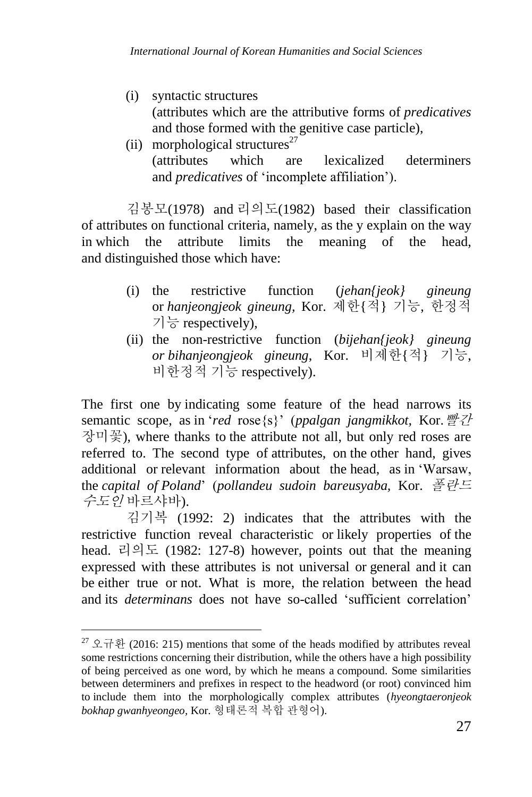- (i) syntactic structures (attributes which are the attributive forms of *predicatives* and those formed with the genitive case particle),
- (ii) morphological structures<sup>27</sup> (attributes which are lexicalized determiners and *predicatives* of 'incomplete affiliation').

김봉모(1978) and 리의도(1982) based their classification of attributes on functional criteria, namely, as the y explain on the way in which the attribute limits the meaning of the head, and distinguished those which have:

- (i) the restrictive function (*jehan{jeok} gineung* or *hanjeongjeok gineung,* Kor. 제한{적} 기능, 한정적 기능 respectively),
- (ii) the non-restrictive function (*bijehan{jeok} gineung or bihanjeongjeok gineung*, Kor. 비제한{적} 기능, 비한정적 기능 respectively).

The first one by indicating some feature of the head narrows its semantic scope, as in '*red* rose{s}' (*ppalgan jangmikkot,* Kor.빨간 장미꽃), where thanks to the attribute not all, but only red roses are referred to. The second type of attributes, on the other hand, gives additional or relevant information about the head, as in 'Warsaw, the *capital of Poland*' (*pollandeu sudoin bareusyaba,* Kor. 폴란드 수도인 바르샤바).

김기복 (1992: 2) indicates that the attributes with the restrictive function reveal characteristic or likely properties of the head. 리의도 (1982: 127-8) however, points out that the meaning expressed with these attributes is not universal or general and it can be either true or not. What is more, the relation between the head and its *determinans* does not have so-called 'sufficient correlation'

 $27$  오규환 (2016: 215) mentions that some of the heads modified by attributes reveal some restrictions concerning their distribution, while the others have a high possibility of being perceived as one word, by which he means a compound. Some similarities between determiners and prefixes in respect to the headword (or root) convinced him to include them into the morphologically complex attributes (*hyeongtaeronjeok bokhap gwanhyeongeo,* Kor. 형태론적 복합 관형어).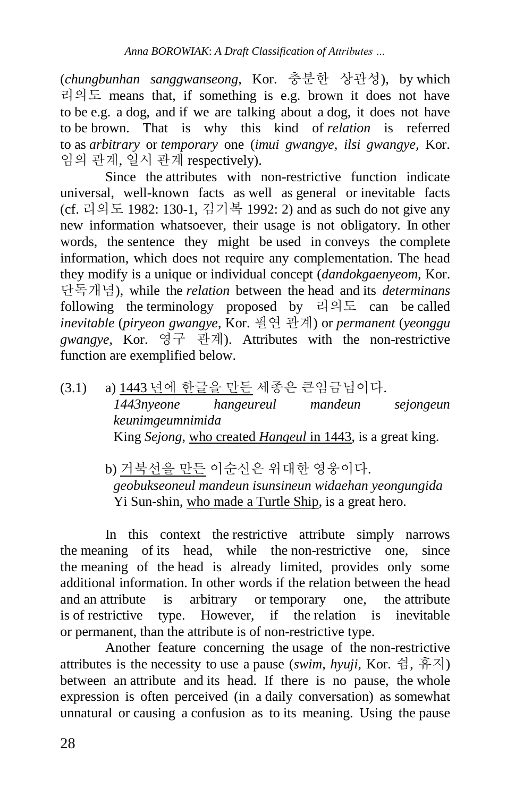(*chungbunhan sanggwanseong,* Kor. 충분한 상관성), by which 리의도 means that, if something is e.g. brown it does not have to be e.g. a dog, and if we are talking about a dog, it does not have to be brown. That is why this kind of *relation* is referred to as *arbitrary* or *temporary* one (*imui gwangye, ilsi gwangye,* Kor. 임의 관계, 일시 관계 respectively).

Since the attributes with non-restrictive function indicate universal, well-known facts as well as general or inevitable facts (cf. 리의도 1982: 130-1, 김기복 1992: 2) and as such do not give any new information whatsoever, their usage is not obligatory. In other words, the sentence they might be used in conveys the complete information, which does not require any complementation. The head they modify is a unique or individual concept (*dandokgaenyeom,* Kor. 단독개념), while the *relation* between the head and its *determinans* following the terminology proposed by 리의도 can be called *inevitable* (*piryeon gwangye*, Kor. 필연 관계) or *permanent* (*yeonggu gwangye,* Kor. 영구 관계). Attributes with the non-restrictive function are exemplified below.

(3.1) a) 1443 년에 한글을 만든 세종은 큰임금님이다. *1443nyeone hangeureul mandeun sejongeun keunimgeumnimida* King *Sejong*, who created *Hangeul* in 1443, is a great king.

> b) 거북선을 만든 이순신은 위대한 영웅이다. *geobukseoneul mandeun isunsineun widaehan yeongungida* Yi Sun-shin, who made a Turtle Ship, is a great hero.

In this context the restrictive attribute simply narrows the meaning of its head, while the non-restrictive one, since the meaning of the head is already limited, provides only some additional information. In other words if the relation between the head and an attribute is arbitrary or temporary one, the attribute is of restrictive type. However, if the relation is inevitable or permanent, than the attribute is of non-restrictive type.

Another feature concerning the usage of the non-restrictive attributes is the necessity to use a pause (*swim, hyuji*, Kor. 쉼, 휴지) between an attribute and its head. If there is no pause, the whole expression is often perceived (in a daily conversation) as somewhat unnatural or causing a confusion as to its meaning. Using the pause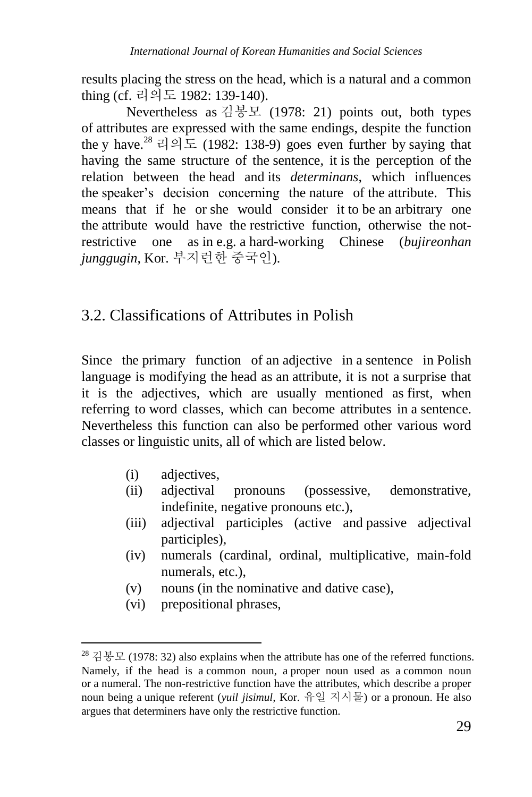results placing the stress on the head, which is a natural and a common thing (cf. 리의도 1982: 139-140).

Nevertheless as 김봉모 (1978: 21) points out, both types of attributes are expressed with the same endings, despite the function the y have.<sup>28</sup> 리의도 (1982: 138-9) goes even further by saying that having the same structure of the sentence, it is the perception of the relation between the head and its *determinans*, which influences the speaker's decision concerning the nature of the attribute. This means that if he or she would consider it to be an arbitrary one the attribute would have the restrictive function, otherwise the notrestrictive one as in e.g. a hard-working Chinese (*bujireonhan junggugin*, Kor. 부지런한 중국인).

# 3.2. Classifications of Attributes in Polish

Since the primary function of an adjective in a sentence in Polish language is modifying the head as an attribute, it is not a surprise that it is the adjectives, which are usually mentioned as first, when referring to word classes, which can become attributes in a sentence. Nevertheless this function can also be performed other various word classes or linguistic units, all of which are listed below.

(i) adjectives,

- (ii) adjectival pronouns (possessive, demonstrative, indefinite, negative pronouns etc.),
- (iii) adjectival participles (active and passive adjectival participles),
- (iv) numerals (cardinal, ordinal, multiplicative, main-fold numerals, etc.),
- (v) nouns (in the nominative and dative case),
- (vi) prepositional phrases,

 $^{28}$  김봉모 (1978: 32) also explains when the attribute has one of the referred functions. Namely, if the head is a common noun, a proper noun used as a common noun or a numeral. The non-restrictive function have the attributes, which describe a proper noun being a unique referent (*yuil jisimul,* Kor. 유일 지시물) or a pronoun. He also argues that determiners have only the restrictive function.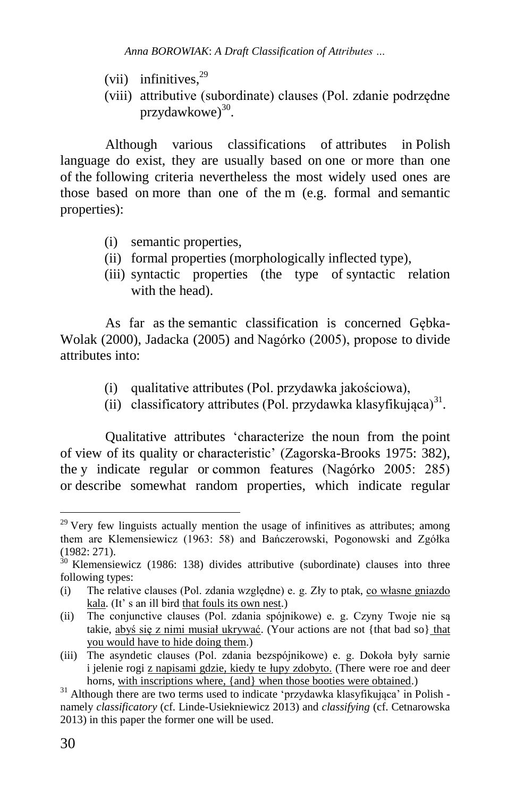*Anna BOROWIAK*: *A Draft Classification of Attributes …*

- (vii) infinitives. $29$
- (viii) attributive (subordinate) clauses (Pol. zdanie podrzędne  $przydawkowe)^{30}$ .

Although various classifications of attributes in Polish language do exist, they are usually based on one or more than one of the following criteria nevertheless the most widely used ones are those based on more than one of the m (e.g. formal and semantic properties):

- (i) semantic properties,
- (ii) formal properties (morphologically inflected type),
- (iii) syntactic properties (the type of syntactic relation with the head).

As far as the semantic classification is concerned Gębka-Wolak (2000), Jadacka (2005) and Nagórko (2005), propose to divide attributes into:

- (i) qualitative attributes (Pol. przydawka jakościowa),
- (ii) classificatory attributes (Pol. przydawka klasyfikująca)<sup>31</sup>.

Qualitative attributes 'characterize the noun from the point of view of its quality or characteristic' (Zagorska-Brooks 1975: 382), the y indicate regular or common features (Nagórko 2005: 285) or describe somewhat random properties, which indicate regular

 $29$  Very few linguists actually mention the usage of infinitives as attributes; among them are Klemensiewicz (1963: 58) and Bańczerowski, Pogonowski and Zgółka (1982: 271).

 $30$  Klemensiewicz (1986: 138) divides attributive (subordinate) clauses into three following types:

<sup>(</sup>i) The relative clauses (Pol. zdania względne) e. g. Zły to ptak, co własne gniazdo kala. (It' s an ill bird that fouls its own nest.)

<sup>(</sup>ii) The conjunctive clauses (Pol. zdania spójnikowe) e. g. Czyny Twoje nie są takie, abyś się z nimi musiał ukrywać. (Your actions are not {that bad so} that you would have to hide doing them.)

<sup>(</sup>iii) The asyndetic clauses (Pol. zdania bezspójnikowe) e. g. Dokoła były sarnie i jelenie rogi z napisami gdzie, kiedy te łupy zdobyto. (There were roe and deer horns, with inscriptions where, {and} when those booties were obtained.)

<sup>&</sup>lt;sup>31</sup> Although there are two terms used to indicate 'przydawka klasyfikująca' in Polish namely *classificatory* (cf. Linde-Usiekniewicz 2013) and *classifying* (cf. Cetnarowska 2013) in this paper the former one will be used.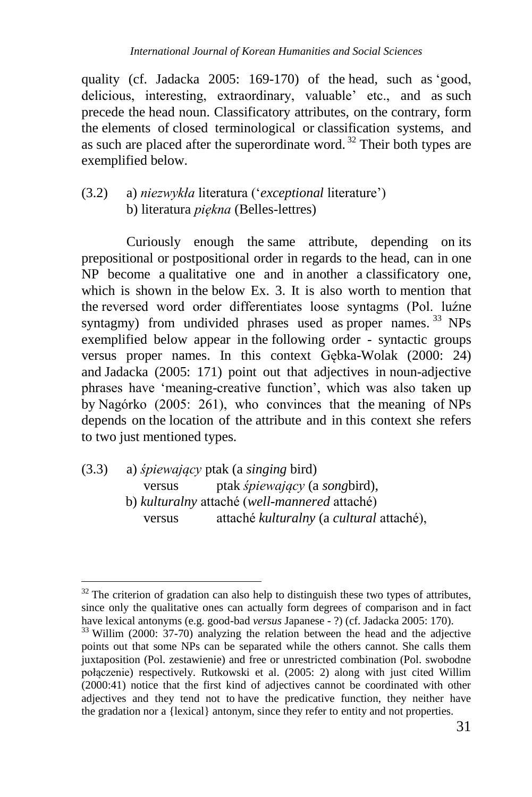quality (cf. Jadacka 2005: 169-170) of the head, such as 'good, delicious, interesting, extraordinary, valuable' etc., and as such precede the head noun. Classificatory attributes, on the contrary, form the elements of closed terminological or classification systems, and as such are placed after the superordinate word.  $32$  Their both types are exemplified below.

#### (3.2) a) *niezwykła* literatura ('*exceptional* literature') b) literatura *piękna* (Belles-lettres)

Curiously enough the same attribute, depending on its prepositional or postpositional order in regards to the head, can in one NP become a qualitative one and in another a classificatory one, which is shown in the below Ex. 3. It is also worth to mention that the reversed word order differentiates loose syntagms (Pol. luźne syntagmy) from undivided phrases used as proper names.<sup>33</sup> NPs exemplified below appear in the following order - syntactic groups versus proper names. In this context Gębka-Wolak (2000: 24) and Jadacka (2005: 171) point out that adjectives in noun-adjective phrases have 'meaning-creative function', which was also taken up by Nagórko (2005: 261), who convinces that the meaning of NPs depends on the location of the attribute and in this context she refers to two just mentioned types.

(3.3) a) *śpiewający* ptak (a *singing* bird) versus ptak *śpiewający* (a *song*bird), b) *kulturalny* attaché (*well-mannered* attaché) versus attaché *kulturalny* (a *cultural* attaché),

 $32$ <sup>32</sup> The criterion of gradation can also help to distinguish these two types of attributes, since only the qualitative ones can actually form degrees of comparison and in fact have lexical antonyms (e.g. good-bad *versus* Japanese - ?) (cf. Jadacka 2005: 170).

<sup>&</sup>lt;sup>33</sup> Willim (2000: 37-70) analyzing the relation between the head and the adjective points out that some NPs can be separated while the others cannot. She calls them juxtaposition (Pol. zestawienie) and free or unrestricted combination (Pol. swobodne połączenie) respectively. Rutkowski et al. (2005: 2) along with just cited Willim (2000:41) notice that the first kind of adjectives cannot be coordinated with other adjectives and they tend not to have the predicative function, they neither have the gradation nor a {lexical} antonym, since they refer to entity and not properties.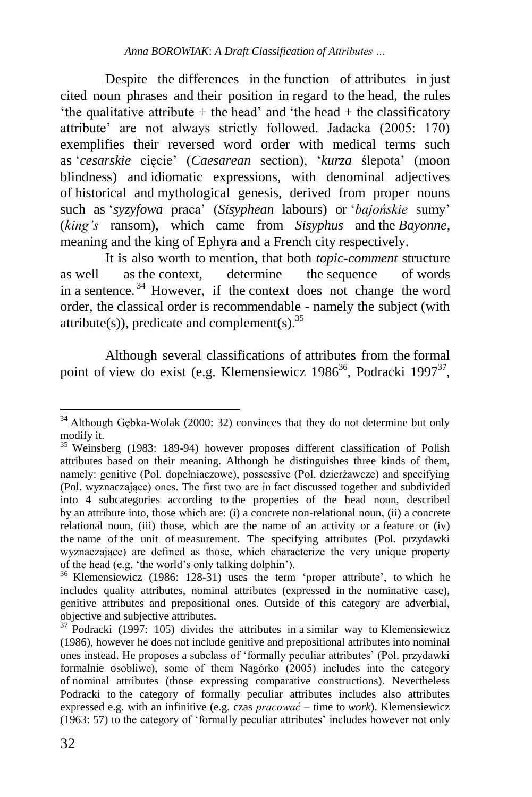Despite the differences in the function of attributes in just cited noun phrases and their position in regard to the head, the rules 'the qualitative attribute  $+$  the head' and 'the head  $+$  the classificatory attribute' are not always strictly followed. Jadacka (2005: 170) exemplifies their reversed word order with medical terms such as '*cesarskie* cięcie' (*Caesarean* section), '*kurza* ślepota' (moon blindness) and idiomatic expressions, with denominal adjectives of historical and mythological genesis, derived from proper nouns such as '*syzyfowa* praca' (*Sisyphean* labours) or '*bajońskie* sumy' (*king's* ransom), which came from *Sisyphus* and the *Bayonne*, meaning and the king of Ephyra and a French city respectively.

It is also worth to mention, that both *topic-comment* structure as well as the context, determine the sequence of words in a sentence. <sup>34</sup> However, if the context does not change the word order, the classical order is recommendable - namely the subject (with attribute(s)), predicate and complement(s).<sup>35</sup>

Although several classifications of attributes from the formal point of view do exist (e.g. Klemensiewicz 1986<sup>36</sup>, Podracki 1997<sup>37</sup>,

 $\overline{a}$ <sup>34</sup> Although Gębka-Wolak (2000: 32) convinces that they do not determine but only modify it.

<sup>&</sup>lt;sup>35</sup> Weinsberg (1983: 189-94) however proposes different classification of Polish attributes based on their meaning. Although he distinguishes three kinds of them, namely: genitive (Pol. dopełniaczowe), possessive (Pol. dzierżawcze) and specifying (Pol. wyznaczające) ones. The first two are in fact discussed together and subdivided into 4 subcategories according to the properties of the head noun, described by an attribute into, those which are: (i) a concrete non-relational noun, (ii) a concrete relational noun, (iii) those, which are the name of an activity or a feature or (iv) the name of the unit of measurement. The specifying attributes (Pol. przydawki wyznaczające) are defined as those, which characterize the very unique property of the head (e.g. 'the world's only talking dolphin').

<sup>36</sup> Klemensiewicz (1986: 128-31) uses the term 'proper attribute', to which he includes quality attributes, nominal attributes (expressed in the nominative case), genitive attributes and prepositional ones. Outside of this category are adverbial, objective and subjective attributes.

 $37$  Podracki (1997: 105) divides the attributes in a similar way to Klemensiewicz (1986), however he does not include genitive and prepositional attributes into nominal ones instead. He proposes a subclass of 'formally peculiar attributes' (Pol. przydawki formalnie osobliwe), some of them Nagórko (2005) includes into the category of nominal attributes (those expressing comparative constructions). Nevertheless Podracki to the category of formally peculiar attributes includes also attributes expressed e.g. with an infinitive (e.g. czas *pracować* – time to *work*). Klemensiewicz (1963: 57) to the category of 'formally peculiar attributes' includes however not only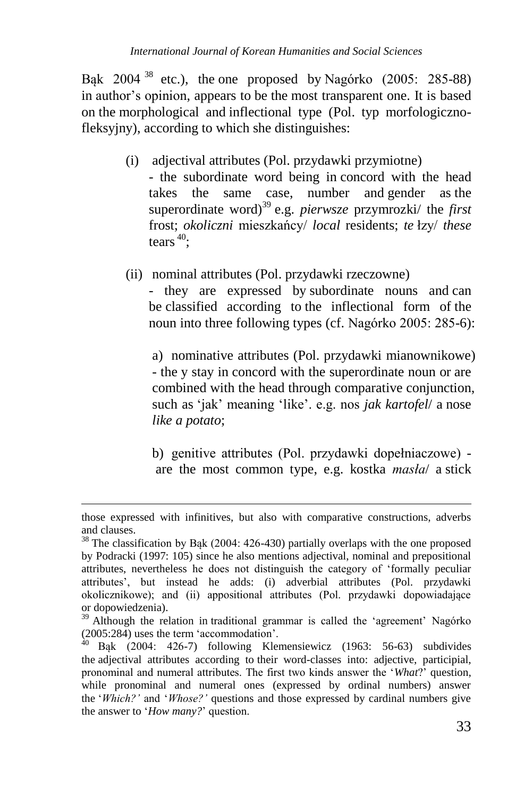Bąk 2004<sup>38</sup> etc.), the one proposed by Nagórko (2005: 285-88) in author's opinion, appears to be the most transparent one. It is based on the morphological and inflectional type (Pol. typ morfologicznofleksyjny), according to which she distinguishes:

- (i) adjectival attributes (Pol. przydawki przymiotne) - the subordinate word being in concord with the head takes the same case, number and gender as the superordinate word)<sup>39</sup> e.g. *pierwsze* przymrozki/ the *first*  frost; *okoliczni* mieszkańcy/ *local* residents; *te* łzy/ *these* tears  $40$ :
- (ii) nominal attributes (Pol. przydawki rzeczowne)

- they are expressed by subordinate nouns and can be classified according to the inflectional form of the noun into three following types (cf. Nagórko 2005: 285-6):

a) nominative attributes (Pol. przydawki mianownikowe) - the y stay in concord with the superordinate noun or are combined with the head through comparative conjunction, such as 'jak' meaning 'like'. e.g. nos *jak kartofel*/ a nose *like a potato*;

b) genitive attributes (Pol. przydawki dopełniaczowe) are the most common type, e.g. kostka *masła*/ a stick

those expressed with infinitives, but also with comparative constructions, adverbs and clauses.

<sup>&</sup>lt;sup>38</sup> The classification by Bak (2004: 426-430) partially overlaps with the one proposed by Podracki (1997: 105) since he also mentions adjectival, nominal and prepositional attributes, nevertheless he does not distinguish the category of 'formally peculiar attributes', but instead he adds: (i) adverbial attributes (Pol. przydawki okolicznikowe); and (ii) appositional attributes (Pol. przydawki dopowiadające or dopowiedzenia).

<sup>&</sup>lt;sup>39</sup> Although the relation in traditional grammar is called the 'agreement' Nagórko (2005:284) uses the term 'accommodation'.

 $40$  Bak (2004: 426-7) following Klemensiewicz (1963: 56-63) subdivides the adjectival attributes according to their word-classes into: adjective, participial, pronominal and numeral attributes. The first two kinds answer the '*What*?' question, while pronominal and numeral ones (expressed by ordinal numbers) answer the '*Which?'* and '*Whose?'* questions and those expressed by cardinal numbers give the answer to '*How many?*' question.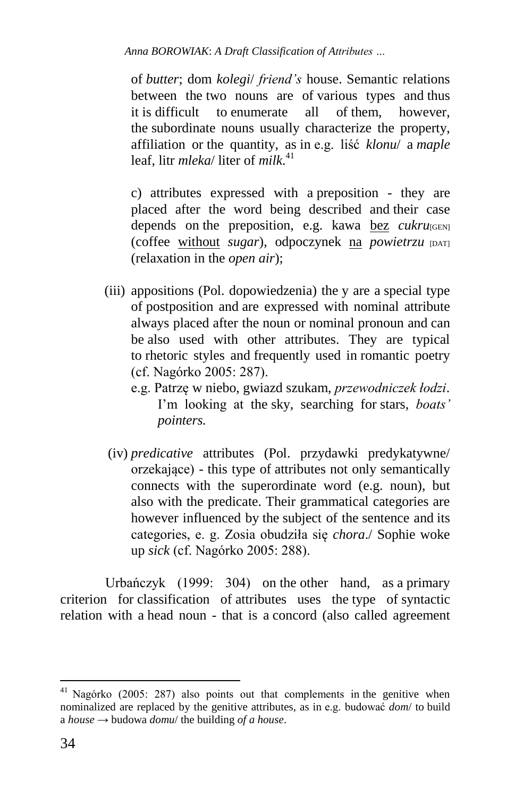*Anna BOROWIAK*: *A Draft Classification of Attributes …*

of *butter*; dom *kolegi*/ *friend's* house. Semantic relations between the two nouns are of various types and thus it is difficult to enumerate all of them, however, the subordinate nouns usually characterize the property, affiliation or the quantity, as in e.g. liść *klonu*/ a *maple* leaf, litr *mleka*/ liter of *milk*. 41

c) attributes expressed with a preposition - they are placed after the word being described and their case depends on the preposition, e.g. kawa bez *cukru*<sup>[GEN]</sup> (coffee without *sugar*), odpoczynek na *powietrzu* [DAT] (relaxation in the *open air*);

- (iii) appositions (Pol. dopowiedzenia) the y are a special type of postposition and are expressed with nominal attribute always placed after the noun or nominal pronoun and can be also used with other attributes. They are typical to rhetoric styles and frequently used in romantic poetry (cf. Nagórko 2005: 287).
	- e.g. Patrzę w niebo, gwiazd szukam, *przewodniczek łodzi*. I'm looking at the sky, searching for stars, *boats' pointers.*
- (iv) *predicative* attributes (Pol. przydawki predykatywne/ orzekające) - this type of attributes not only semantically connects with the superordinate word (e.g. noun), but also with the predicate. Their grammatical categories are however influenced by the subject of the sentence and its categories, e. g. Zosia obudziła się *chora*./ Sophie woke up *sick* (cf. Nagórko 2005: 288).

Urbańczyk (1999: 304) on the other hand, as a primary criterion for classification of attributes uses the type of syntactic relation with a head noun - that is a concord (also called agreement

<sup>&</sup>lt;sup>41</sup> Nagórko (2005: 287) also points out that complements in the genitive when nominalized are replaced by the genitive attributes, as in e.g. budować *dom*/ to build a *house*  $\rightarrow$  budowa *domu* / the building *of a house*.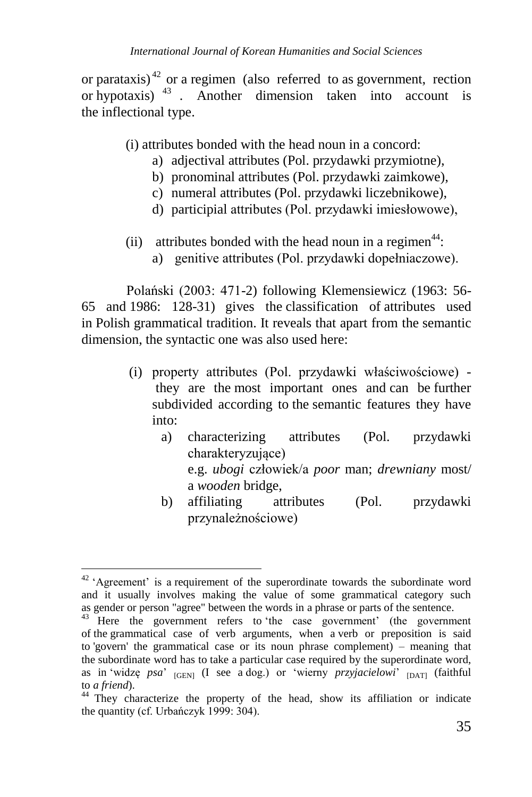or parataxis)<sup> $42$ </sup> or a regimen (also referred to as government, rection or hypotaxis)  $43$ . Another dimension taken into account is the inflectional type.

(i) attributes bonded with the head noun in a concord:

- a) adjectival attributes (Pol. przydawki przymiotne),
- b) pronominal attributes (Pol. przydawki zaimkowe),
- c) numeral attributes (Pol. przydawki liczebnikowe),
- d) participial attributes (Pol. przydawki imiesłowowe),
- (ii) attributes bonded with the head noun in a regimen<sup>44</sup>:
	- a) genitive attributes (Pol. przydawki dopełniaczowe).

Polański (2003: 471-2) following Klemensiewicz (1963: 56- 65 and 1986: 128-31) gives the classification of attributes used in Polish grammatical tradition. It reveals that apart from the semantic dimension, the syntactic one was also used here:

- (i) property attributes (Pol. przydawki właściwościowe) they are the most important ones and can be further subdivided according to the semantic features they have into:
	- a) characterizing attributes (Pol. przydawki charakteryzujące) e.g. *ubogi* człowiek/a *poor* man; *drewniany* most/ a *wooden* bridge,
	- b) affiliating attributes (Pol. przydawki przynależnościowe)

<sup>&</sup>lt;u>.</u>  $42$  'Agreement' is a requirement of the superordinate towards the subordinate word and it usually involves making the value of some grammatical category such as gender or person "agree" between the words in a phrase or parts of the sentence.

<sup>&</sup>lt;sup>43</sup> Here the government refers to the case government' (the government of the [grammatical case](https://en.wikipedia.org/wiki/Grammatical_case) of [verb arguments,](https://en.wikipedia.org/wiki/Verb_argument) when a verb or preposition is said to 'govern' the [grammatical case](https://en.wikipedia.org/wiki/Grammatical_case) or its noun phrase complement) – meaning that the subordinate word has to take a particular case required by the superordinate word, as in 'widzę *psa*' <sub>[GEN]</sub> (I see a dog.) or 'wierny *przyjacielowi*' <sub>[DAT]</sub> (faithful to *a friend*).

<sup>&</sup>lt;sup>44</sup> They characterize the property of the head, show its affiliation or indicate the quantity (cf. Urbańczyk 1999: 304).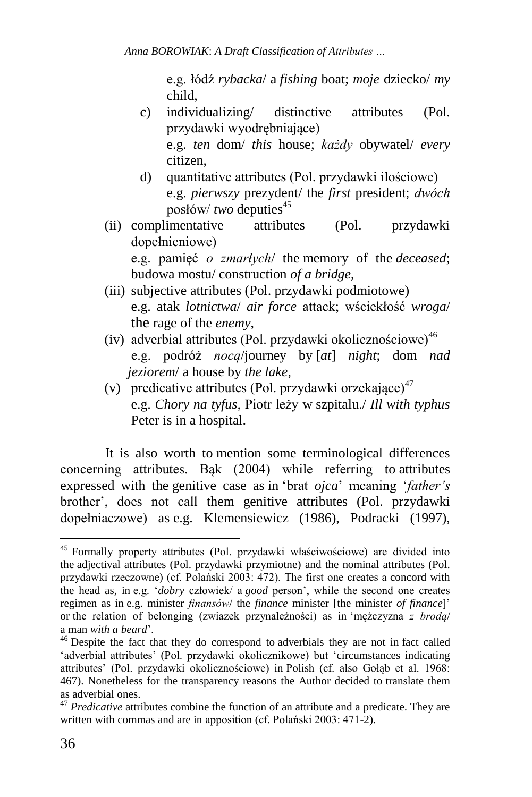e.g. łódź *rybacka*/ a *fishing* boat; *moje* dziecko/ *my* child,

- c) individualizing/ distinctive attributes (Pol. przydawki wyodrębniające) e.g. *ten* dom/ *this* house; *każdy* obywatel/ *every* citizen,
- d) quantitative attributes (Pol. przydawki ilościowe) e.g. *pierwszy* prezydent/ the *first* president; *dwóch* posłów/ *two* deputies<sup>45</sup>
- (ii) complimentative attributes (Pol. przydawki dopełnieniowe) e.g. pamięć *o zmarłych*/ the memory of the *deceased*;

budowa mostu/ construction *of a bridge*,

- (iii) subjective attributes (Pol. przydawki podmiotowe) e.g. atak *lotnictwa*/ *air force* attack; wściekłość *wroga*/ the rage of the *enemy*,
- (iv) adverbial attributes (Pol. przydawki okolicznościowe) $46$ e.g. podróż *nocą*/journey by [*at*] *night*; dom *nad jeziorem*/ a house by *the lake*,
- (v) predicative attributes (Pol. przydawki orzekające) $47$ e.g. *Chory na tyfus*, Piotr leży w szpitalu./ *Ill with typhus* Peter is in a hospital.

It is also worth to mention some terminological differences concerning attributes. Bąk (2004) while referring to attributes expressed with the genitive case as in 'brat *ojca*' meaning '*father's* brother', does not call them genitive attributes (Pol. przydawki dopełniaczowe) as e.g. Klemensiewicz (1986), Podracki (1997),

 $\overline{a}$ <sup>45</sup> Formally property attributes (Pol. przydawki właściwościowe) are divided into the adjectival attributes (Pol. przydawki przymiotne) and the nominal attributes (Pol. przydawki rzeczowne) (cf. Polański 2003: 472). The first one creates a concord with the head as, in e.g. '*dobry* człowiek/ a *good* person', while the second one creates regimen as in e.g. minister *finansów*/ the *finance* minister [the minister *of finance*]' or the relation of belonging (zwiazek przynależności) as in 'mężczyzna *z brodą*/ a man *with a beard*'.

<sup>&</sup>lt;sup>46</sup> Despite the fact that they do correspond to adverbials they are not in fact called 'adverbial attributes' (Pol. przydawki okolicznikowe) but 'circumstances indicating attributes' (Pol. przydawki okolicznościowe) in Polish (cf. also Gołąb et al. 1968: 467). Nonetheless for the transparency reasons the Author decided to translate them as adverbial ones.

<sup>47</sup> *Predicative* attributes combine the function of an attribute and a predicate. They are written with commas and are in apposition (cf. Polański 2003: 471-2).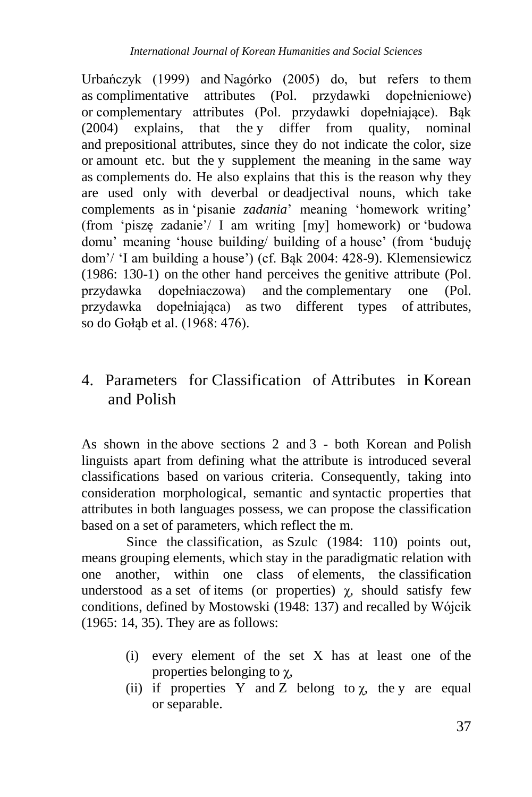Urbańczyk (1999) and Nagórko (2005) do, but refers to them as complimentative attributes (Pol. przydawki dopełnieniowe) or complementary attributes (Pol. przydawki dopełniające). Bąk (2004) explains, that the y differ from quality, nominal and prepositional attributes, since they do not indicate the color, size or amount etc. but the y supplement the meaning in the same way as complements do. He also explains that this is the reason why they are used only with deverbal or deadjectival nouns, which take complements as in 'pisanie *zadania*' meaning 'homework writing' (from 'piszę zadanie'/ I am writing [my] homework) or 'budowa domu' meaning 'house building/ building of a house' (from 'buduję dom'/ 'I am building a house') (cf. Bąk 2004: 428-9). Klemensiewicz (1986: 130-1) on the other hand perceives the genitive attribute (Pol. przydawka dopełniaczowa) and the complementary one (Pol. przydawka dopełniająca) as two different types of attributes, so do Gołąb et al. (1968: 476).

# 4. Parameters for Classification of Attributes in Korean and Polish

As shown in the above sections 2 and 3 - both Korean and Polish linguists apart from defining what the attribute is introduced several classifications based on various criteria. Consequently, taking into consideration morphological, semantic and syntactic properties that attributes in both languages possess, we can propose the classification based on a set of parameters, which reflect the m.

Since the classification, as Szulc (1984: 110) points out, means grouping elements, which stay in the paradigmatic relation with one another, within one class of elements, the classification understood as a set of items (or properties)  $\gamma$ , should satisfy few conditions, defined by Mostowski (1948: 137) and recalled by Wójcik (1965: 14, 35). They are as follows:

- (i) every element of the set X has at least one of the properties belonging to χ,
- (ii) if properties Y and Z belong to  $\chi$ , the y are equal or separable.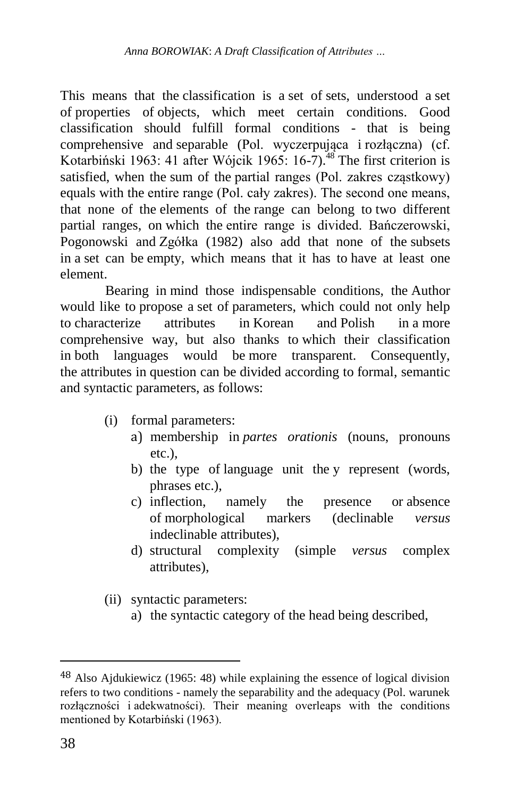This means that the classification is a set of sets, understood a set of properties of objects, which meet certain conditions. Good classification should fulfill formal conditions - that is being comprehensive and separable (Pol. wyczerpująca i rozłączna) (cf. Kotarbiński 1963: 41 after Wójcik 1965: 16-7).<sup>48</sup> The first criterion is satisfied, when the sum of the partial ranges (Pol. zakres cząstkowy) equals with the entire range (Pol. cały zakres). The second one means, that none of the elements of the range can belong to two different partial ranges, on which the entire range is divided. Bańczerowski, Pogonowski and Zgółka (1982) also add that none of the subsets in a set can be empty, which means that it has to have at least one element.

Bearing in mind those indispensable conditions, the Author would like to propose a set of parameters, which could not only help to characterize attributes in Korean and Polish in a more comprehensive way, but also thanks to which their classification in both languages would be more transparent. Consequently, the attributes in question can be divided according to formal, semantic and syntactic parameters, as follows:

- (i) formal parameters:
	- a) membership in *partes orationis* (nouns, pronouns etc.),
	- b) the type of language unit the y represent (words, phrases etc.),
	- c) inflection, namely the presence or absence of morphological markers (declinable *versus* indeclinable attributes),
	- d) structural complexity (simple *versus* complex attributes),
- (ii) syntactic parameters:
	- a) the syntactic category of the head being described,

<sup>48</sup> Also Ajdukiewicz (1965: 48) while explaining the essence of logical division refers to two conditions - namely the separability and the adequacy (Pol. warunek rozłączności i adekwatności). Their meaning overleaps with the conditions mentioned by Kotarbiński (1963).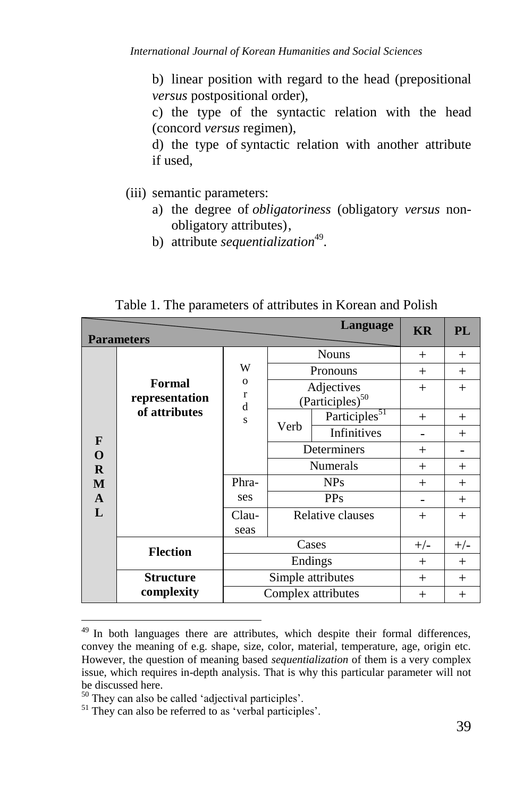b) linear position with regard to the head (prepositional *versus* postpositional order),

c) the type of the syntactic relation with the head (concord *versus* regimen),

d) the type of syntactic relation with another attribute if used,

- (iii) semantic parameters:
	- a) the degree of *obligatoriness* (obligatory *versus* nonobligatory attributes),
	- b) attribute *sequentialization*<sup>49</sup>.

Table 1. The parameters of attributes in Korean and Polish

| Language<br><b>Parameters</b>               |                                           |                                             |                                  |                           |                    | PL           |
|---------------------------------------------|-------------------------------------------|---------------------------------------------|----------------------------------|---------------------------|--------------------|--------------|
| F<br>$\mathbf 0$<br>$\bf{R}$<br>M<br>A<br>L | Formal<br>representation<br>of attributes | W<br>$\mathbf{o}$<br>$\mathbf{r}$<br>d<br>S | <b>Nouns</b>                     |                           | $^{+}$             | $^{+}$       |
|                                             |                                           |                                             | Pronouns                         |                           | $^{+}$             | $^{+}$       |
|                                             |                                           |                                             | Adjectives<br>(Participles) $50$ |                           | $^{+}$             | $^{+}$       |
|                                             |                                           |                                             | Verb                             | Participles <sup>51</sup> | $^{+}$             | $^{+}$       |
|                                             |                                           |                                             |                                  | Infinitives               |                    | $^{+}$       |
|                                             |                                           |                                             | Determiners                      |                           | $^{+}$             |              |
|                                             |                                           |                                             | Numerals                         |                           | $^{+}$             | $^+$         |
|                                             |                                           | Phra-                                       | <b>NPs</b>                       |                           | $^{+}$             | $^{+}$       |
|                                             |                                           | ses                                         | <b>PPs</b>                       |                           |                    | $\mathrm{+}$ |
|                                             |                                           | Clau-                                       | Relative clauses                 |                           | $^{+}$             | $^{+}$       |
|                                             |                                           | seas                                        |                                  |                           |                    |              |
|                                             | <b>Flection</b>                           | Cases                                       |                                  |                           | $+/-$              | $+/-$        |
|                                             |                                           | Endings                                     |                                  | $^{+}$                    | $\hspace{0.1mm} +$ |              |
|                                             | <b>Structure</b>                          | Simple attributes                           |                                  | $^{+}$                    | $^{+}$             |              |
|                                             | complexity                                | Complex attributes                          |                                  | $^{+}$                    | $^{+}$             |              |

<sup>&</sup>lt;u>.</u>  $49$  In both languages there are attributes, which despite their formal differences, convey the meaning of e.g. shape, size, color, material, temperature, age, origin etc. However, the question of meaning based *sequentialization* of them is a very complex issue, which requires in-depth analysis. That is why this particular parameter will not be discussed here.

<sup>50</sup> They can also be called 'adjectival participles'.

 $<sup>51</sup>$  They can also be referred to as 'verbal participles'.</sup>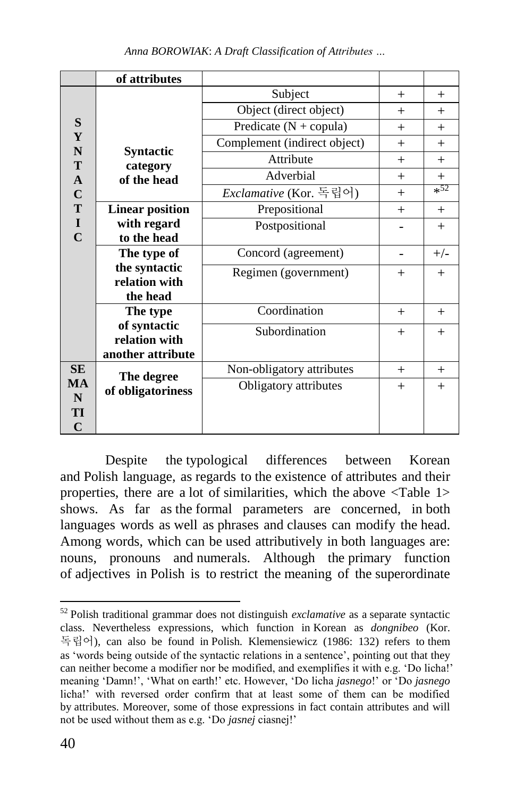|                | of attributes                |                               |        |        |
|----------------|------------------------------|-------------------------------|--------|--------|
|                |                              | Subject                       | $+$    | $+$    |
|                |                              | Object (direct object)        | $^{+}$ | $+$    |
| S              |                              | Predicate $(N + copula)$      | $^{+}$ | $+$    |
| ${\bf Y}$<br>N |                              | Complement (indirect object)  | $+$    | $+$    |
| T              | <b>Syntactic</b><br>category | Attribute                     |        | $+$    |
| $\mathbf{A}$   | of the head                  | Adverbial                     | $+$    | $^{+}$ |
| $\mathbf C$    |                              | <i>Exclamative</i> (Kor. 독립어) | $^{+}$ | $*52$  |
| T              | <b>Linear position</b>       | Prepositional                 | $^{+}$ | $+$    |
| $\mathbf I$    | with regard                  | Postpositional                |        | $+$    |
| $\overline{C}$ | to the head                  |                               |        |        |
|                | The type of                  | Concord (agreement)           |        | $+/-$  |
|                | the syntactic                | Regimen (government)          |        | $+$    |
|                | relation with                |                               |        |        |
|                | the head                     |                               |        |        |
|                | The type                     | Coordination                  | $^{+}$ | $+$    |
|                | of syntactic                 | Subordination                 | $^{+}$ | $+$    |
|                | relation with                |                               |        |        |
|                | another attribute            |                               |        |        |
| <b>SE</b>      | The degree                   | Non-obligatory attributes     | $^{+}$ | $+$    |
| <b>MA</b>      | of obligatoriness            | Obligatory attributes         | $^{+}$ | $+$    |
| N              |                              |                               |        |        |
| TI             |                              |                               |        |        |
| $\mathbf C$    |                              |                               |        |        |

Despite the typological differences between Korean and Polish language, as regards to the existence of attributes and their properties, there are a lot of similarities, which the above <Table 1> shows. As far as the formal parameters are concerned, in both languages words as well as phrases and clauses can modify the head. Among words, which can be used attributively in both languages are: nouns, pronouns and numerals. Although the primary function of adjectives in Polish is to restrict the meaning of the superordinate

l

<sup>52</sup> Polish traditional grammar does not distinguish *exclamative* as a separate syntactic class. Nevertheless expressions, which function in Korean as *dongnibeo* (Kor. 독립어), can also be found in Polish. Klemensiewicz (1986: 132) refers to them as 'words being outside of the syntactic relations in a sentence', pointing out that they can neither become a modifier nor be modified, and exemplifies it with e.g. 'Do licha!' meaning 'Damn!', 'What on earth!' etc. However, 'Do licha *jasnego*!' or 'Do *jasnego* licha!' with reversed order confirm that at least some of them can be modified by attributes. Moreover, some of those expressions in fact contain attributes and will not be used without them as e.g. 'Do *jasnej* ciasnej!'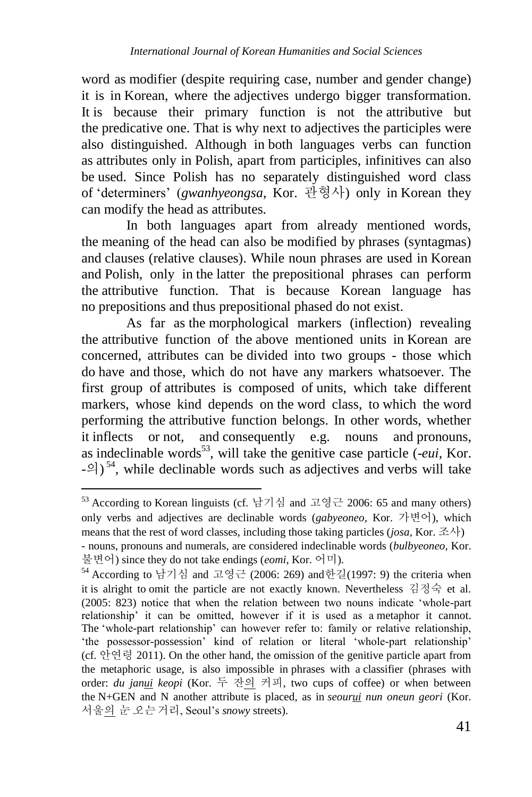word as modifier (despite requiring case, number and gender change) it is in Korean, where the adjectives undergo bigger transformation. It is because their primary function is not the attributive but the predicative one. That is why next to adjectives the participles were also distinguished. Although in both languages verbs can function as attributes only in Polish, apart from participles, infinitives can also be used. Since Polish has no separately distinguished word class of 'determiners' (*gwanhyeongsa*, Kor. 관형사) only in Korean they can modify the head as attributes.

In both languages apart from already mentioned words, the meaning of the head can also be modified by phrases (syntagmas) and clauses (relative clauses). While noun phrases are used in Korean and Polish, only in the latter the prepositional phrases can perform the attributive function. That is because Korean language has no prepositions and thus prepositional phased do not exist.

As far as the morphological markers (inflection) revealing the attributive function of the above mentioned units in Korean are concerned, attributes can be divided into two groups - those which do have and those, which do not have any markers whatsoever. The first group of attributes is composed of units, which take different markers, whose kind depends on the word class, to which the word performing the attributive function belongs. In other words, whether it inflects or not, and consequently e.g. nouns and pronouns, as indeclinable words<sup>53</sup>, will take the genitive case particle  $(-eui, Kor.$  $[-2]$ )<sup>54</sup>, while declinable words such as adjectives and verbs will take

<sup>53</sup> According to Korean linguists (cf. 남기심 and 고영근 2006: 65 and many others) only verbs and adjectives are declinable words (*gabyeoneo,* Kor. 가변어), which means that the rest of word classes, including those taking particles (*josa,* Kor. 조사) - nouns, pronouns and numerals, are considered indeclinable words (*bulbyeoneo,* Kor.

불변어) since they do not take endings (*eomi*, Kor. 어미).

<sup>54</sup> According to 남기심 and 고영근 (2006: 269) and한길(1997: 9) the criteria when it is alright to omit the particle are not exactly known. Nevertheless 김정숙 et al. (2005: 823) notice that when the relation between two nouns indicate 'whole-part relationship' it can be omitted, however if it is used as a metaphor it cannot. The 'whole-part relationship' can however refer to: family or relative relationship, 'the possessor-possession' kind of relation or literal 'whole-part relationship' (cf. 안연령 2011). On the other hand, the omission of the genitive particle apart from the metaphoric usage, is also impossible in phrases with a classifier (phrases with order: *du janui keopi* (Kor. 두 잔의 커피, two cups of coffee) or when between the N+GEN and N another attribute is placed, as in *seourui nun oneun geori* (Kor. 서울의 눈 오는 거리, Seoul's *snowy* streets).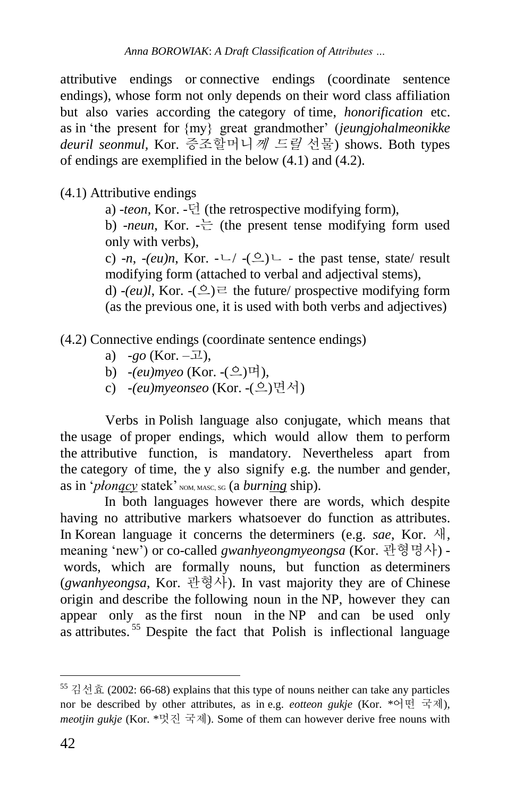attributive endings or connective endings (coordinate sentence endings), whose form not only depends on their word class affiliation but also varies according the category of time, *honorification* etc. as in 'the present for {my} great grandmother' (*jeungjohalmeonikke deuril seonmul,* Kor. 증조할머니께 드릴 선물) shows. Both types of endings are exemplified in the below (4.1) and (4.2).

(4.1) Attributive endings

a) *-teon*, Kor.  $-\overline{\xi}$  (the retrospective modifying form),

b) *-neun*, Kor.  $-\frac{L}{L}$  (the present tense modifying form used only with verbs),

c)  $-n$ ,  $-e(u)n$ , Kor.  $-L$   $(-2)$   $-L$  - the past tense, state/ result modifying form (attached to verbal and adjectival stems),

d)  $-e^{i\theta}$ , Kor.  $-(\hat{\varphi})\equiv$  the future/ prospective modifying form (as the previous one, it is used with both verbs and adjectives)

(4.2) Connective endings (coordinate sentence endings)

- a) *-go* (Kor. –고),
- b) *-(eu)myeo* (Kor. -(으)며),
- c) *-(eu)myeonseo* (Kor. -(으)면서)

Verbs in Polish language also conjugate, which means that the usage of proper endings, which would allow them to perform the attributive function, is mandatory. Nevertheless apart from the category of time, the y also signify e.g. the number and gender, as in '*płonący* statek' NOM, MASC, SG (a *burning* ship).

In both languages however there are words, which despite having no attributive markers whatsoever do function as attributes. In Korean language it concerns the determiners (e.g. *sae*, Kor. 새, meaning 'new') or co-called *gwanhyeongmyeongsa* (Kor. 관형명사) words, which are formally nouns, but function as determiners (*gwanhyeongsa*, Kor. 관형사). In vast majority they are of Chinese origin and describe the following noun in the NP, however they can appear only as the first noun in the NP and can be used only as attributes. <sup>55</sup> Despite the fact that Polish is inflectional language

 $55$  김선효 (2002: 66-68) explains that this type of nouns neither can take any particles nor be described by other attributes, as in e.g. *eotteon gukje* (Kor. \*어떤 국제), *meotjin gukje* (Kor. \*멋진 국제). Some of them can however derive free nouns with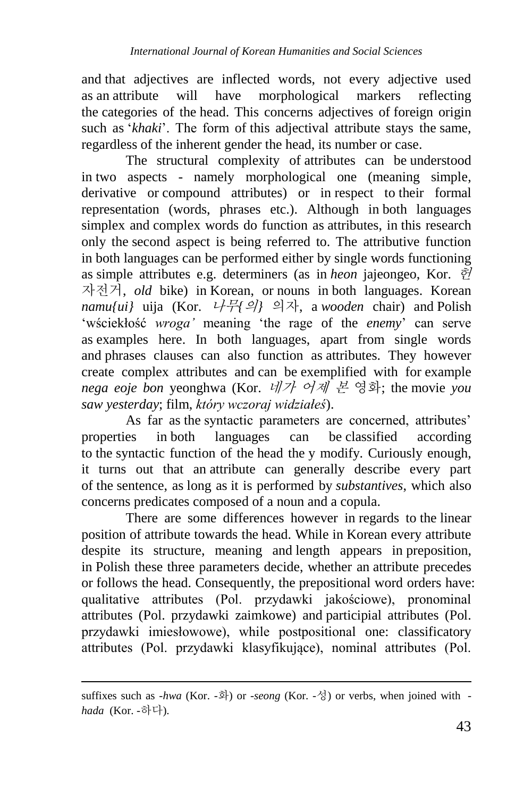and that adjectives are inflected words, not every adjective used as an attribute will have morphological markers reflecting the categories of the head. This concerns adjectives of foreign origin such as '*khaki*'. The form of this adjectival attribute stays the same, regardless of the inherent gender the head, its number or case.

The structural complexity of attributes can be understood in two aspects - namely morphological one (meaning simple, derivative or compound attributes) or in respect to their formal representation (words, phrases etc.). Although in both languages simplex and complex words do function as attributes, in this research only the second aspect is being referred to. The attributive function in both languages can be performed either by single words functioning as simple attributes e.g. determiners (as in *heon* jajeongeo, Kor. 헌 자전거, *old* bike) in Korean, or nouns in both languages. Korean  $namu\{ui\}$  uija (Kor.  $\nu\frac{H}{H}$ ) 의자, a *wooden* chair) and Polish 'wściekłość *wroga'* meaning 'the rage of the *enemy*' can serve as examples here. In both languages, apart from single words and phrases clauses can also function as attributes. They however create complex attributes and can be exemplified with for example *nega eoje bon* yeonghwa (Kor. 네가 어제 본 영화; the movie *you saw yesterday*; film, *który wczoraj widziałeś*).

As far as the syntactic parameters are concerned, attributes' properties in both languages can be classified according to the syntactic function of the head the y modify. Curiously enough, it turns out that an attribute can generally describe every part of the sentence, as long as it is performed by *substantives*, which also concerns predicates composed of a noun and a copula.

There are some differences however in regards to the linear position of attribute towards the head. While in Korean every attribute despite its structure, meaning and length appears in preposition, in Polish these three parameters decide, whether an attribute precedes or follows the head. Consequently, the prepositional word orders have: qualitative attributes (Pol. przydawki jakościowe), pronominal attributes (Pol. przydawki zaimkowe) and participial attributes (Pol. przydawki imiesłowowe), while postpositional one: classificatory attributes (Pol. przydawki klasyfikujące), nominal attributes (Pol.

suffixes such as *-hwa* (Kor. -화) or -*seong* (Kor. -성) or verbs, when joined with *hada* (Kor. -하다).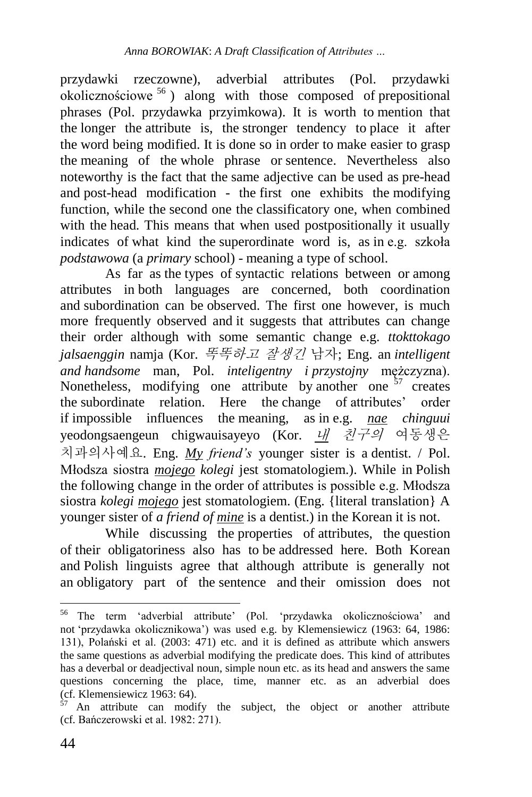przydawki rzeczowne), adverbial attributes (Pol. przydawki  $\alpha$  okolicznościowe  $^{56}$ ) along with those composed of prepositional phrases (Pol. przydawka przyimkowa). It is worth to mention that the longer the attribute is, the stronger tendency to place it after the word being modified. It is done so in order to make easier to grasp the meaning of the whole phrase or sentence. Nevertheless also noteworthy is the fact that the same adjective can be used as pre-head and post-head modification - the first one exhibits the modifying function, while the second one the classificatory one, when combined with the head. This means that when used postpositionally it usually indicates of what kind the superordinate word is, as in e.g. szkoła *podstawowa* (a *primary* school) - meaning a type of school.

As far as the types of syntactic relations between or among attributes in both languages are concerned, both coordination and subordination can be observed. The first one however, is much more frequently observed and it suggests that attributes can change their order although with some semantic change e.g. *ttokttokago jalsaenggin* namja (Kor. 똑똑하고 잘생긴 남자; Eng. an *intelligent and handsome* man, Pol. *inteligentny i przystojny* mężczyzna). Nonetheless, modifying one attribute by another one  $57$  creates the subordinate relation. Here the change of attributes' order if impossible influences the meaning, as in e.g. *nae chinguui* yeodongsaengeun chigwauisayeyo (Kor. 내 친구의 여동생은 치과의사예요. Eng. *My friend's* younger sister is a dentist. / Pol. Młodsza siostra *mojego kolegi* jest stomatologiem.). While in Polish the following change in the order of attributes is possible e.g. Młodsza siostra *kolegi mojego* jest stomatologiem. (Eng. {literal translation} A younger sister of *a friend of mine* is a dentist.) in the Korean it is not.

While discussing the properties of attributes, the question of their obligatoriness also has to be addressed here. Both Korean and Polish linguists agree that although attribute is generally not an obligatory part of the sentence and their omission does not

<sup>56</sup> The term 'adverbial attribute' (Pol. 'przydawka okolicznościowa' and not 'przydawka okolicznikowa') was used e.g. by Klemensiewicz (1963: 64, 1986: 131), Polański et al. (2003: 471) etc. and it is defined as attribute which answers the same questions as adverbial modifying the predicate does. This kind of attributes has a deverbal or deadjectival noun, simple noun etc. as its head and answers the same questions concerning the place, time, manner etc. as an adverbial does (cf. Klemensiewicz 1963: 64).

 $57$  An attribute can modify the subject, the object or another attribute (cf. Bańczerowski et al. 1982: 271).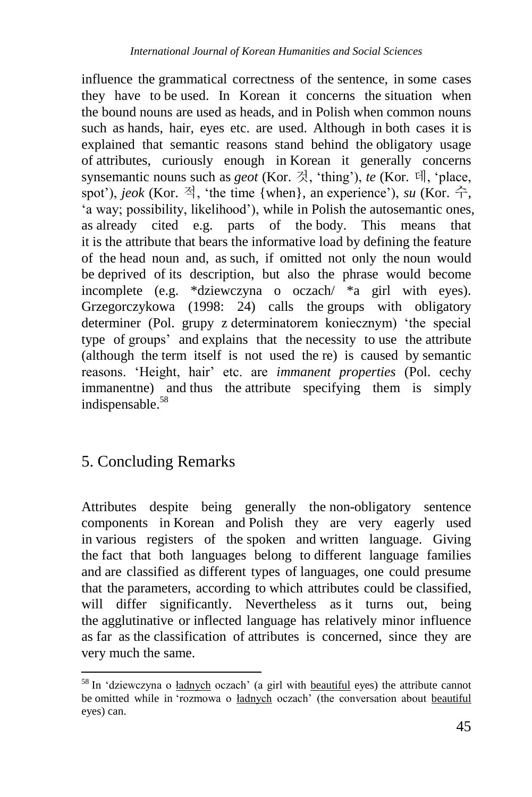influence the grammatical correctness of the sentence, in some cases they have to be used. In Korean it concerns the situation when the bound nouns are used as heads, and in Polish when common nouns such as hands, hair, eyes etc. are used. Although in both cases it is explained that semantic reasons stand behind the obligatory usage of attributes, curiously enough in Korean it generally concerns synsemantic nouns such as *geot* (Kor. 것, 'thing'), *te* (Kor. 데, 'place, spot'), *jeok* (Kor. 적, 'the time {when}, an experience'), *su* (Kor.  $\hat{\tau}$ , 'a way; possibility, likelihood'), while in Polish the autosemantic ones, as already cited e.g. parts of the body. This means that it is the attribute that bears the informative load by defining the feature of the head noun and, as such, if omitted not only the noun would be deprived of its description, but also the phrase would become incomplete (e.g. \*dziewczyna o oczach/ \*a girl with eyes). Grzegorczykowa (1998: 24) calls the groups with obligatory determiner (Pol. grupy z determinatorem koniecznym) 'the special type of groups' and explains that the necessity to use the attribute (although the term itself is not used the re) is caused by semantic reasons. 'Height, hair' etc. are *immanent properties* (Pol. cechy immanentne) and thus the attribute specifying them is simply indispensable. 58

# 5. Concluding Remarks

<u>.</u>

Attributes despite being generally the non-obligatory sentence components in Korean and Polish they are very eagerly used in various registers of the spoken and written language. Giving the fact that both languages belong to different language families and are classified as different types of languages, one could presume that the parameters, according to which attributes could be classified, will differ significantly. Nevertheless as it turns out, being the agglutinative or inflected language has relatively minor influence as far as the classification of attributes is concerned, since they are very much the same.

<sup>&</sup>lt;sup>58</sup> In 'dziewczyna o *ładnych* oczach' (a girl with **beautiful** eyes) the attribute cannot be omitted while in 'rozmowa o ładnych oczach' (the conversation about beautiful eyes) can.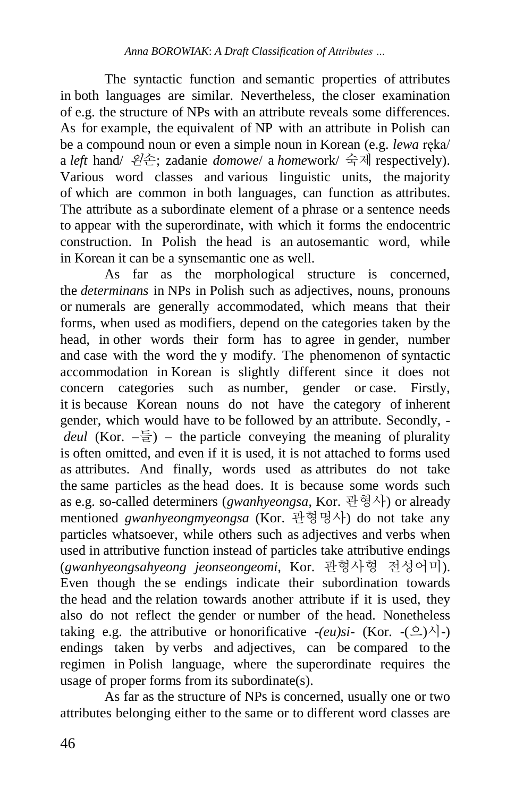The syntactic function and semantic properties of attributes in both languages are similar. Nevertheless, the closer examination of e.g. the structure of NPs with an attribute reveals some differences. As for example, the equivalent of NP with an attribute in Polish can be a compound noun or even a simple noun in Korean (e.g. *lewa* ręka/ a *left* hand/ 왼손; zadanie *domowe*/ a *homework*/ 숙제 respectively). Various word classes and various linguistic units, the majority of which are common in both languages, can function as attributes. The attribute as a subordinate element of a phrase or a sentence needs to appear with the superordinate, with which it forms the endocentric construction. In Polish the head is an autosemantic word, while in Korean it can be a synsemantic one as well.

As far as the morphological structure is concerned, the *determinans* in NPs in Polish such as adjectives, nouns, pronouns or numerals are generally accommodated, which means that their forms, when used as modifiers, depend on the categories taken by the head, in other words their form has to agree in gender, number and case with the word the y modify. The phenomenon of syntactic accommodation in Korean is slightly different since it does not concern categories such as number, gender or case. Firstly, it is because Korean nouns do not have the category of inherent gender, which would have to be followed by an attribute. Secondly, *deul* (Kor.  $-\frac{E}{E}$ ) – the particle conveying the meaning of plurality is often omitted, and even if it is used, it is not attached to forms used as attributes. And finally, words used as attributes do not take the same particles as the head does. It is because some words such as e.g. so-called determiners (*gwanhyeongsa*, Kor. 관형사) or already mentioned *gwanhyeongmyeongsa* (Kor. 관형명사) do not take any particles whatsoever, while others such as adjectives and verbs when used in attributive function instead of particles take attributive endings (*gwanhyeongsahyeong jeonseongeomi*, Kor. 관형사형 전성어미). Even though the se endings indicate their subordination towards the head and the relation towards another attribute if it is used, they also do not reflect the gender or number of the head. Nonetheless taking e.g. the attributive or honorificative  $-(eu)si-$  (Kor.  $-(\frac{\circ}{c})^{\lambda}$ ) endings taken by verbs and adjectives, can be compared to the regimen in Polish language, where the superordinate requires the usage of proper forms from its subordinate(s).

As far as the structure of NPs is concerned, usually one or two attributes belonging either to the same or to different word classes are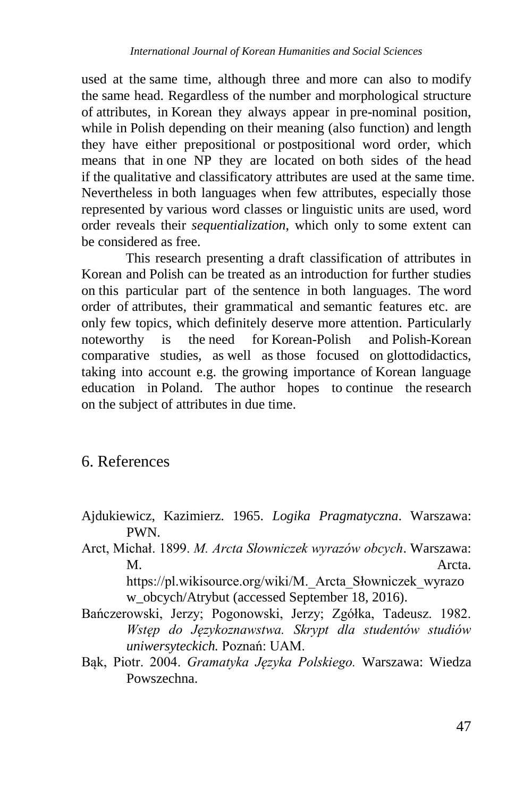used at the same time, although three and more can also to modify the same head. Regardless of the number and morphological structure of attributes, in Korean they always appear in pre-nominal position, while in Polish depending on their meaning (also function) and length they have either prepositional or postpositional word order, which means that in one NP they are located on both sides of the head if the qualitative and classificatory attributes are used at the same time. Nevertheless in both languages when few attributes, especially those represented by various word classes or linguistic units are used, word order reveals their *sequentialization*, which only to some extent can be considered as free.

This research presenting a draft classification of attributes in Korean and Polish can be treated as an introduction for further studies on this particular part of the sentence in both languages. The word order of attributes, their grammatical and semantic features etc. are only few topics, which definitely deserve more attention. Particularly noteworthy is the need for Korean-Polish and Polish-Korean comparative studies, as well as those focused on glottodidactics, taking into account e.g. the growing importance of Korean language education in Poland. The author hopes to continue the research on the subject of attributes in due time.

### 6. References

- Ajdukiewicz, Kazimierz. 1965. *Logika Pragmatyczna*. Warszawa: PWN.
- Arct, Michał. 1899. *M. Arcta Słowniczek wyrazów obcych*. Warszawa: M. Arcta.

https://pl.wikisource.org/wiki/M.\_Arcta\_Słowniczek\_wyrazo w\_obcych/Atrybut (accessed September 18, 2016).

- Bańczerowski, Jerzy; Pogonowski, Jerzy; Zgółka, Tadeusz. 1982. *Wstęp do Językoznawstwa. Skrypt dla studentów studiów uniwersyteckich.* Poznań: UAM.
- Bąk, Piotr. 2004. *Gramatyka Języka Polskiego.* Warszawa: Wiedza Powszechna.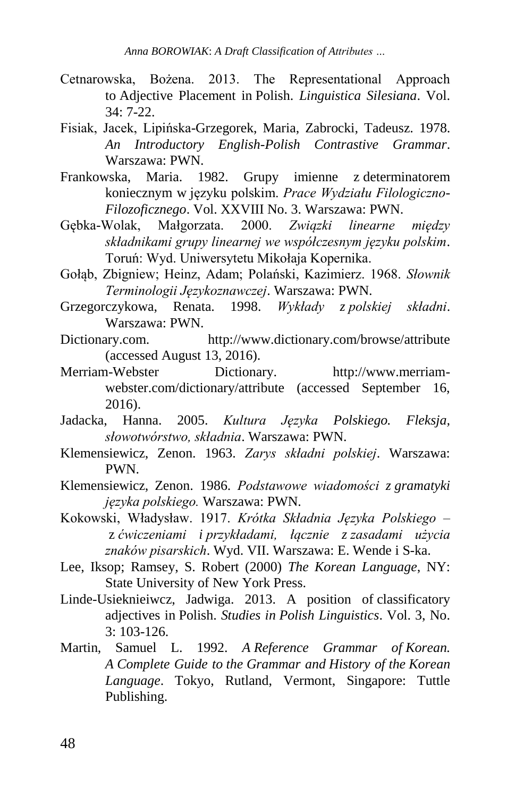- Cetnarowska, Bożena. 2013. The Representational Approach to Adjective Placement in Polish. *Linguistica Silesiana*. Vol. 34: 7-22.
- Fisiak, Jacek, Lipińska-Grzegorek, Maria, Zabrocki, Tadeusz. 1978. *An Introductory English-Polish Contrastive Grammar*. Warszawa: PWN.
- Frankowska, Maria. 1982. Grupy imienne z determinatorem koniecznym w języku polskim. *Prace Wydziału Filologiczno-Filozoficznego*. Vol. XXVIII No. 3. Warszawa: PWN.
- Gębka-Wolak, Małgorzata. 2000. *Związki linearne między składnikami grupy linearnej we współczesnym języku polskim*. Toruń: Wyd. Uniwersytetu Mikołaja Kopernika.
- Gołąb, Zbigniew; Heinz, Adam; Polański, Kazimierz. 1968. *Słownik Terminologii Językoznawczej*. Warszawa: PWN.
- Grzegorczykowa, Renata. 1998. *Wykłady z polskiej składni*. Warszawa: PWN.
- Dictionary.com. http://www.dictionary.com/browse/attribute (accessed August 13, 2016).
- Merriam-Webster Dictionary. http://www.merriamwebster.com/dictionary/attribute (accessed September 16, 2016).
- Jadacka, Hanna. 2005. *Kultura Języka Polskiego. Fleksja, słowotwórstwo, składnia*. Warszawa: PWN.
- Klemensiewicz, Zenon. 1963. *Zarys składni polskiej*. Warszawa: PWN.
- Klemensiewicz, Zenon. 1986. *Podstawowe wiadomości z gramatyki języka polskiego.* Warszawa: PWN.
- Kokowski, Władysław. 1917. *Krótka Składnia Języka Polskiego* z *ćwiczeniami i przykładami, łącznie z zasadami użycia znaków pisarskich*. Wyd. VII. Warszawa: E. Wende i S-ka.
- Lee, Iksop; Ramsey, S. Robert (2000) *The Korean Language*, NY: State University of New York Press.
- Linde-Usieknieiwcz, Jadwiga. 2013. A position of classificatory adjectives in Polish. *Studies in Polish Linguistics*. Vol. 3, No. 3: 103-126.
- Martin, Samuel L. 1992. *A Reference Grammar of Korean. A Complete Guide to the Grammar and History of the Korean Language*. Tokyo, Rutland, Vermont, Singapore: Tuttle Publishing.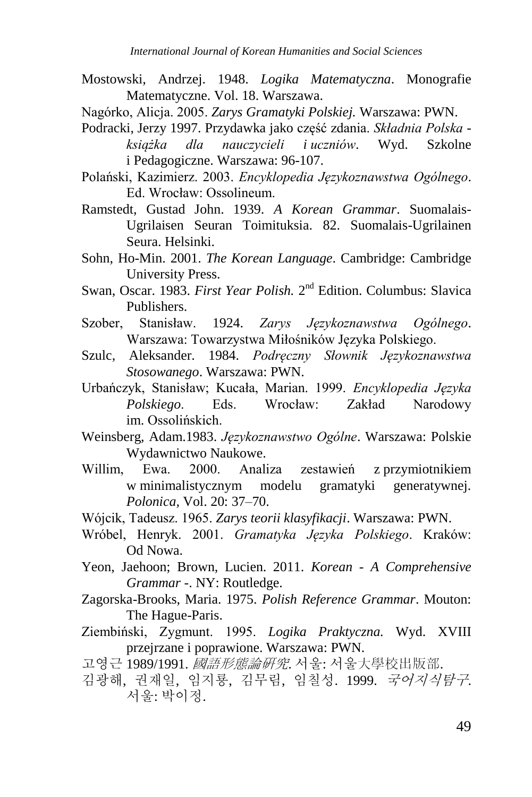- Mostowski, Andrzej. 1948. *Logika Matematyczna*. Monografie Matematyczne. Vol. 18. Warszawa.
- Nagórko, Alicja. 2005. *Zarys Gramatyki Polskiej.* Warszawa: PWN.
- Podracki, Jerzy 1997. Przydawka jako część zdania. *Składnia Polska książka dla nauczycieli i uczniów*. Wyd. Szkolne i Pedagogiczne. Warszawa: 96-107.
- Polański, Kazimierz. 2003. *Encyklopedia Językoznawstwa Ogólnego*. Ed. Wrocław: Ossolineum.
- Ramstedt, Gustad John. 1939. *A Korean Grammar*. Suomalais-Ugrilaisen Seuran Toimituksia. 82. Suomalais-Ugrilainen Seura. Helsinki.
- Sohn, Ho-Min. 2001. *The Korean Language*. Cambridge: Cambridge University Press.
- Swan, Oscar. 1983. First Year Polish. 2<sup>nd</sup> Edition. Columbus: Slavica Publishers.
- Szober, Stanisław. 1924. *Zarys Językoznawstwa Ogólnego*. Warszawa: Towarzystwa Miłośników Języka Polskiego.
- Szulc, Aleksander. 1984. *Podręczny Słownik Językoznawstwa Stosowanego*. Warszawa: PWN.
- Urbańczyk, Stanisław; Kucała, Marian. 1999. *Encyklopedia Języka Polskiego*. Eds. Wrocław: Zakład Narodowy im. Ossolińskich.
- Weinsberg, Adam.1983. *Językoznawstwo Ogólne*. Warszawa: Polskie Wydawnictwo Naukowe.
- Willim, Ewa. 2000. Analiza zestawień z przymiotnikiem w minimalistycznym modelu gramatyki generatywnej. *Polonica,* Vol. 20: 37–70.
- Wójcik, Tadeusz. 1965. *Zarys teorii klasyfikacji*. Warszawa: PWN.
- Wróbel, Henryk. 2001. *Gramatyka Języka Polskiego*. Kraków: Od Nowa.
- Yeon, Jaehoon; Brown, Lucien. 2011. *Korean - A Comprehensive Grammar -*. NY: Routledge.
- Zagorska-Brooks, Maria. 1975. *Polish Reference Grammar*. Mouton: The Hague-Paris.
- Ziembiński, Zygmunt. 1995. *Logika Praktyczna.* Wyd. XVIII przejrzane i poprawione. Warszawa: PWN.
- 고영근 1989/1991. 國語形態論研究. 서울: 서울大學校出版部.
- 김광해, 권재일, 임지룡, 김무림, 임칠성. 1999. 국어지식탐구. 서울: 박이정.